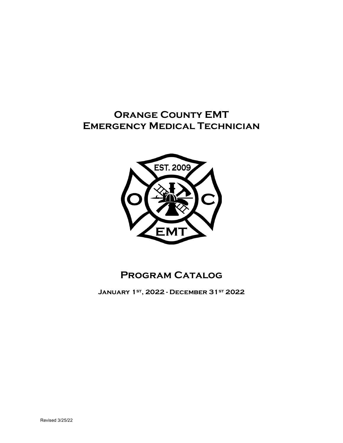# **Orange County EMT Emergency Medical Technician**



# **Program Catalog**

**January 1st, 2022 - December 31st 2022**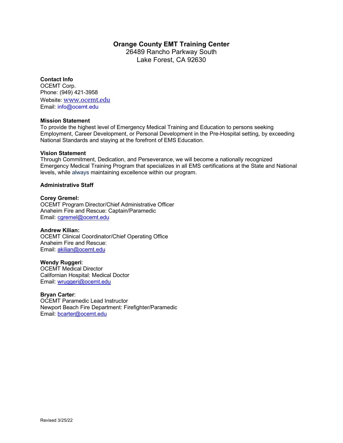# **Orange County EMT Training Center**

26489 Rancho Parkway South Lake Forest, CA 92630

## **Contact Info**

OCEMT Corp. Phone: (949) 421-3958 Website: [www.ocemt.edu](http://www.ocemt.edu/) Email: info@ocemt.edu

#### **Mission Statement**

To provide the highest level of Emergency Medical Training and Education to persons seeking Employment, Career Development, or Personal Development in the Pre-Hospital setting, by exceeding National Standards and staying at the forefront of EMS Education.

#### **Vision Statement**

Through Commitment, Dedication, and Perseverance, we will become a nationally recognized Emergency Medical Training Program that specializes in all EMS certifications at the State and National levels, while always maintaining excellence within our program.

## **Administrative Staff**

## **Corey Gremel:**

OCEMT Program Director/Chief Administrative Officer Anaheim Fire and Rescue: Captain/Paramedic Email: [cgremel@ocemt.edu](mailto:cgremel@ocemt.edu)

#### **Andrew Kilian:**

OCEMT Clinical Coordinator/Chief Operating Office Anaheim Fire and Rescue: Email: [akilian@ocemt.edu](mailto:akilian@ocemt.edu)

#### **Wendy Ruggeri**:

OCEMT Medical Director Californian Hospital: Medical Doctor Email: [wruggeri@ocemt.edu](mailto:wruggeri@ocemt.edu)

#### **Bryan Carter**:

OCEMT Paramedic Lead Instructor Newport Beach Fire Department: Firefighter/Paramedic Email: [bcarter@ocemt.edu](mailto:bcarter@ocemt.edu)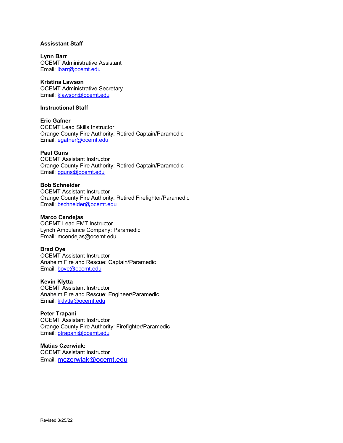## **Assisstant Staff**

**Lynn Barr** OCEMT Administrative Assistant Email: [lbarr@ocemt.edu](mailto:lbarr@ocemt.edu)

**Kristina Lawson** OCEMT Administrative Secretary Email: [klawson@ocemt.edu](mailto:klawson@ocemt.edu)

#### **Instructional Staff**

**Eric Gafner** OCEMT Lead Skills Instructor Orange County Fire Authority: Retired Captain/Paramedic Email: [egafner@ocemt.edu](mailto:egafner@ocemt.edu)

**Paul Guns** OCEMT Assistant Instructor Orange County Fire Authority: Retired Captain/Paramedic Email: [pguns@ocemt.edu](mailto:pguns@ocemt.edu)

**Bob Schneider** OCEMT Assistant Instructor Orange County Fire Authority: Retired Firefighter/Paramedic Email: [bschneider@ocemt.edu](mailto:bschneider@ocemt.edu)

# **Marco Cendejas**

OCEMT Lead EMT Instructor Lynch Ambulance Company: Paramedic Email: mcendejas@ocemt.edu

#### **Brad Oye**

OCEMT Assistant Instructor Anaheim Fire and Rescue: Captain/Paramedic Email: [boye@ocemt.edu](mailto:boye@ocemt.edu)

**Kevin Klytta** 

OCEMT Assistant Instructor Anaheim Fire and Rescue: Engineer/Paramedic Email: [kklytta@ocemt.edu](mailto:kklytta@ocemt.edu)

**Peter Trapani**

OCEMT Assistant Instructor Orange County Fire Authority: Firefighter/Paramedic Email: [ptrapani@ocemt.edu](mailto:ptrapani@ocemt.edu)

**Matias Czerwiak:**  OCEMT Assistant Instructor Email: [mczerwiak@ocemt.edu](mailto:mczerwiak@ocemt.edu)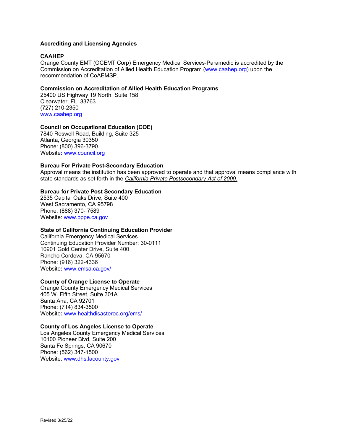## **Accrediting and Licensing Agencies**

#### **CAAHEP**

Orange County EMT (OCEMT Corp) Emergency Medical Services-Paramedic is accredited by the Commission on Accreditation of Allied Health Education Program [\(www.caahep.org\)](http://www.caahep.org/) upon the recommendation of CoAEMSP.

#### **Commission on Accreditation of Allied Health Education Programs**

25400 US Highway 19 North, Suite 158 Clearwater, FL 33763 (727) 210-2350 [www.caahep.org](http://www.caahep.org/)

#### **Council on Occupational Education (COE)**

7840 Roswell Road, Building, Suite 325 Atlanta, Georgia 30350 Phone: (800) 396-3790 Website**:** [www.council.org](http://www.council.org/)

## **Bureau For Private Post-Secondary Education**

Approval means the institution has been approved to operate and that approval means compliance with state standards as set forth in the *California Private Postsecondary Act of 2009.*

#### **Bureau for Private Post Secondary Education**

2535 Capital Oaks Drive, Suite 400 West Sacramento, CA 95798 Phone: (888) 370- 7589 Website[: www.bppe.ca.gov](http://www.bppe.ca.gov/)

#### **State of California Continuing Education Provider**

California Emergency Medical Services Continuing Education Provider Number: 30-0111 10901 Gold Center Drive, Suite 400 Rancho Cordova, CA 95670 Phone: (916) 322-4336 Website**:** www.emsa.ca.gov/

#### **County of Orange License to Operate**

Orange County Emergency Medical Services 405 W. Fifth Street, Suite 301A Santa Ana, CA 92701 Phone: (714) 834-3500 Website**:** www.healthdisasteroc.org/ems/

#### **County of Los Angeles License to Operate**

Los Angeles County Emergency Medical Services 10100 Pioneer Blvd, Suite 200 Santa Fe Springs, CA 90670 Phone: (562) 347-1500 Website[: www.dhs.lacounty.gov](http://www.dhs.lacounty.gov/)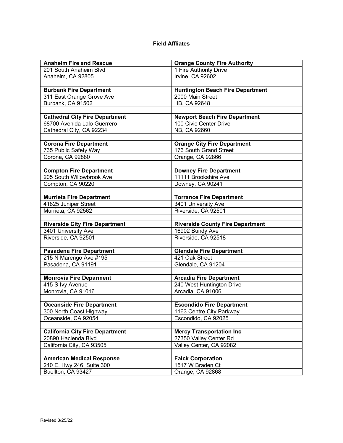# **Field Affliates**

| <b>Anaheim Fire and Rescue</b>                              | <b>Orange County Fire Authority</b>                   |
|-------------------------------------------------------------|-------------------------------------------------------|
| 201 South Anaheim Blvd                                      | 1 Fire Authority Drive                                |
| Anaheim, CA 92805                                           | Irvine, CA 92602                                      |
|                                                             |                                                       |
| <b>Burbank Fire Department</b>                              | <b>Huntington Beach Fire Department</b>               |
| 311 East Orange Grove Ave                                   | 2000 Main Street                                      |
| Burbank, CA 91502                                           | HB, CA 92648                                          |
|                                                             |                                                       |
| <b>Cathedral City Fire Department</b>                       | <b>Newport Beach Fire Department</b>                  |
| 68700 Avenida Lalo Guerrero                                 | 100 Civic Center Drive                                |
| Cathedral City, CA 92234                                    | NB, CA 92660                                          |
|                                                             |                                                       |
| <b>Corona Fire Department</b>                               | <b>Orange City Fire Department</b>                    |
| 735 Public Safety Way                                       | 176 South Grand Street                                |
| Corona, CA 92880                                            | Orange, CA 92866                                      |
|                                                             |                                                       |
| <b>Compton Fire Department</b><br>205 South Willowbrook Ave | <b>Downey Fire Department</b><br>11111 Brookshire Ave |
| Compton, CA 90220                                           | Downey, CA 90241                                      |
|                                                             |                                                       |
| <b>Murrieta Fire Department</b>                             | <b>Torrance Fire Department</b>                       |
| 41825 Juniper Street                                        | 3401 University Ave                                   |
| Murrieta, CA 92562                                          | Riverside, CA 92501                                   |
|                                                             |                                                       |
| <b>Riverside City Fire Department</b>                       | <b>Riverside County Fire Department</b>               |
| 3401 University Ave                                         | 16902 Bundy Ave                                       |
| Riverside, CA 92501                                         | Riverside, CA 92518                                   |
|                                                             |                                                       |
| <b>Pasadena Fire Department</b>                             | <b>Glendale Fire Department</b>                       |
| 215 N Marengo Ave #195                                      | 421 Oak Street                                        |
| Pasadena, CA 91191                                          | Glendale, CA 91204                                    |
|                                                             |                                                       |
| <b>Monrovia Fire Deparment</b>                              | <b>Arcadia Fire Department</b>                        |
| 415 S Ivy Avenue                                            | 240 West Huntington Drive                             |
| Monrovia, CA 91016                                          | Arcadia, CA 91006                                     |
|                                                             |                                                       |
| <b>Oceanside Fire Department</b>                            | <b>Escondido Fire Department</b>                      |
| 300 North Coast Highway                                     | 1163 Centre City Parkway                              |
| Oceanside, CA 92054                                         | Escondido, CA 92025                                   |
|                                                             |                                                       |
| <b>California City Fire Department</b>                      | <b>Mercy Transportation Inc</b>                       |
| 20890 Hacienda Blvd                                         | 27350 Valley Center Rd                                |
| California City, CA 93505                                   | Valley Center, CA 92082                               |
|                                                             |                                                       |
| <b>American Medical Response</b>                            | <b>Falck Corporation</b>                              |
| 240 E. Hwy 246, Suite 300                                   | 1517 W Braden Ct                                      |
| Buellton, CA 93427                                          | Orange, CA 92868                                      |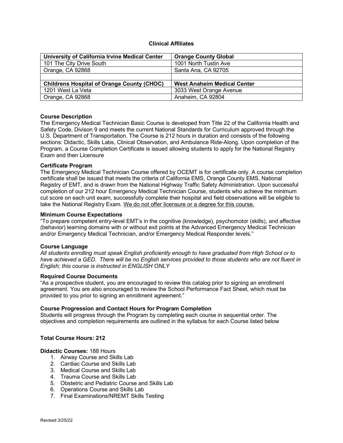## **Clinical Affiliates**

| University of California Irvine Medical Center    | <b>Orange County Global</b>        |
|---------------------------------------------------|------------------------------------|
| 101 The City Drive South                          | 1001 North Tustin Ave              |
| Orange, CA 92868                                  | Santa Ana, CA 92705                |
|                                                   |                                    |
| <b>Childrens Hospital of Orange County (CHOC)</b> | <b>West Anaheim Medical Center</b> |
| 1201 West La Veta                                 | 3033 West Orange Avenue            |
| Orange, CA 92868                                  | Anaheim, CA 92804                  |

#### **Course Description**

The Emergency Medical Technician Basic Course is developed from Title 22 of the California Health and Safety Code, Divison 9 and meets the current National Standards for Curriculum approved through the U.S. Department of Transportation. The Course is 212 hours in duration and consists of the following sections: Didactic, Skills Labs, Clinical Observation, and Ambulance Ride-Along. Upon completion of the Program, a Course Completion Certificate is issued allowing students to apply for the National Registry Exam and then Licensure

#### **Certificate Program**

The Emergency Medical Technician Course offered by OCEMT is for certificate only. A course completion certificate shall be issued that meets the criteria of California EMS, Orange County EMS, National Registry of EMT, and is drawn from the National Highway Traffic Safety Administration. Upon successful completion of our 212 hour Emergency Medical Technician Course, students who achieve the minimum cut score on each unit exam, successfully complete their hospital and field observations will be eligible to take the National Registry Exam. We do not offer licensure or a degree for this course.

#### **Minimum Course Expectations**

"To prepare competent entry-level EMT's in the cognitive (knowledge), psychomotor (skills), and affective (behavior) learning domains with or without exit points at the Advanced Emergency Medical Technician and/or Emergency Medical Technician, and/or Emergency Medical Responder levels."

#### **Course Language**

*All students enrolling must speak English proficiently enough to have graduated from High School or to have achieved a GED. There will be no English services provided to those students who are not fluent in English; this course is instructed in ENGLISH ONLY*

#### **Required Course Documents**

"As a prospective student, you are encouraged to review this catalog prior to signing an enrollment agreement. You are also encouraged to review the School Performance Fact Sheet, which must be provided to you prior to signing an enrollment agreement."

#### **Course Progression and Contact Hours for Program Completion**

Students will progress through the Program by completing each course in sequential order. The objectives and completion requirements are outlined in the syllabus for each Course listed below

#### **Total Course Hours: 212**

**Didactic Courses:** 188 Hours

- 1. Airway Course and Skills Lab
- 2. Cardiac Course and Skills Lab
- 3. Medical Course and Skills Lab
- 4. Trauma Course and Skills Lab
- 5. Obstetric and Pediatric Course and Skills Lab
- 6. Operations Course and Skills Lab
- 7. Final Examinations/NREMT Skills Testing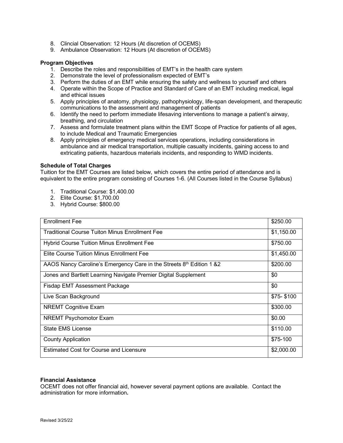- 8. Clincial Observation: 12 Hours (At discretion of OCEMS)
- 9. Ambulance Observation: 12 Hours (At discretion of OCEMS)

## **Program Objectives**

- 1. Describe the roles and responsibilities of EMT's in the health care system
- 2. Demonstrate the level of professionalism expected of EMT's
- 3. Perform the duties of an EMT while ensuring the safety and wellness to yourself and others
- 4. Operate within the Scope of Practice and Standard of Care of an EMT including medical, legal and ethical issues
- 5. Apply principles of anatomy, physiology, pathophysiology, life-span development, and therapeutic communications to the assessment and management of patients
- 6. Identify the need to perform immediate lifesaving interventions to manage a patient's airway, breathing, and circulation
- 7. Assess and formulate treatment plans within the EMT Scope of Practice for patients of all ages, to include Medical and Traumatic Emergencies
- 8. Apply principles of emergency medical services operations, including considerations in ambulance and air medical transportation, multiple casualty incidents, gaining access to and extricating patients, hazardous materials incidents, and responding to WMD incidents.

## **Schedule of Total Charges**

Tuition for the EMT Courses are listed below, which covers the entire period of attendance and is equivalent to the entire program consisting of Courses 1-6. (All Courses listed in the Course Syllabus)

- 1. Traditional Course: \$1,400.00
- 2. Elite Course: \$1,700.00
- 3. Hybrid Course: \$800.00

| <b>Enrollment Fee</b>                                                | \$250.00   |
|----------------------------------------------------------------------|------------|
| <b>Traditional Course Tuiton Minus Enrollment Fee</b>                | \$1,150.00 |
| <b>Hybrid Course Tuition Minus Enrollment Fee</b>                    | \$750.00   |
| Elite Course Tuition Minus Enrollment Fee                            | \$1,450.00 |
| AAOS Nancy Caroline's Emergency Care in the Streets 8th Edition 1 &2 | \$200.00   |
| Jones and Bartlett Learning Navigate Premier Digital Supplement      | \$0        |
| Fisdap EMT Assessment Package                                        | \$0        |
| Live Scan Background                                                 | \$75-\$100 |
| <b>NREMT Cognitive Exam</b>                                          | \$300.00   |
| <b>NREMT Psychomotor Exam</b>                                        | \$0.00     |
| <b>State EMS License</b>                                             | \$110.00   |
| <b>County Application</b>                                            | \$75-100   |
| <b>Estimated Cost for Course and Licensure</b>                       | \$2,000.00 |

#### **Financial Assistance**

OCEMT does not offer financial aid, however several payment options are available. Contact the administration for more information**.**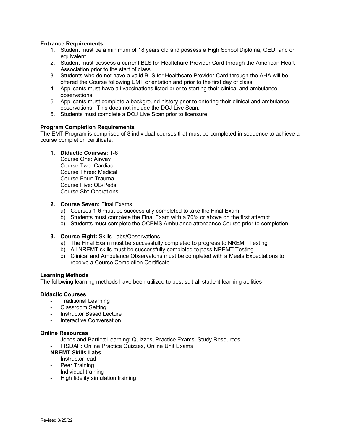## **Entrance Requirements**

- 1. Student must be a minimum of 18 years old and possess a High School Diploma, GED, and or equivalent.
- 2. Student must possess a current BLS for Healtchare Provider Card through the American Heart Association prior to the start of class.
- 3. Students who do not have a valid BLS for Healthcare Provider Card through the AHA will be offered the Course following EMT orientation and prior to the first day of class.
- 4. Applicants must have all vaccinations listed prior to starting their clinical and ambulance observations.
- 5. Applicants must complete a background history prior to entering their clinical and ambulance observations. This does not include the DOJ Live Scan.
- 6. Students must complete a DOJ Live Scan prior to licensure

#### **Program Completion Requirements**

The EMT Program is comprised of 8 individual courses that must be completed in sequence to achieve a course completion certificate.

#### **1. Didactic Courses:** 1-6

Course One: Airway Course Two: Cardiac Course Three: Medical Course Four: Trauma Course Five: OB/Peds Course Six: Operations

#### **2. Course Seven:** Final Exams

- a) Courses 1-6 must be successfully completed to take the Final Exam
- b) Students must complete the Final Exam with a 70% or above on the first attempt
- c) Students must complete the OCEMS Ambulance attendance Course prior to completion

#### **3. Course Eight:** Skills Labs/Observations

- a) The Final Exam must be successfully completed to progress to NREMT Testing
- b) All NREMT skills must be successfully completed to pass NREMT Testing
- c) Clinical and Ambulance Observatons must be completed with a Meets Expectations to receive a Course Completion Certificate.

#### **Learning Methods**

The following learning methods have been utilized to best suit all student learning abilities

#### **Didactic Courses**

- Traditional Learning
- Classroom Setting
- Instructor Based Lecture
- Interactive Conversation

#### **Online Resources**

- Jones and Bartlett Learning: Quizzes, Practice Exams, Study Resources
- FISDAP: Online Practice Quizzes, Online Unit Exams

#### **NREMT Skills Labs**

- Instructor lead
- Peer Training
- Individual training
- High fidelity simulation training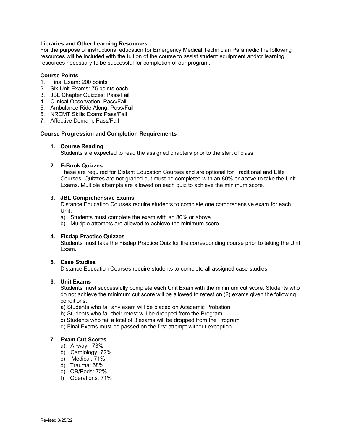## **Libraries and Other Learning Resources**

For the purpose of instructional education for Emergency Medical Technician Paramedic the following resources will be included with the tuition of the course to assist student equipment and/or learning resources necessary to be successful for completion of our program.

#### **Course Points**

- 1. Final Exam: 200 points
- 2. Six Unit Exams: 75 points each
- 3. JBL Chapter Quizzes: Pass/Fail
- 4. Clinical Observation: Pass/Fail.
- 5. Ambulance Ride Along: Pass/Fail
- 6. NREMT Skills Exam: Pass/Fail
- 7. Affective Domain: Pass/Fail

#### **Course Progression and Completion Requirements**

## **1. Course Reading**

Students are expected to read the assigned chapters prior to the start of class

#### **2. E-Book Quizzes**

These are required for Distant Education Courses and are optional for Traditional and Elite Courses. Quizzes are not graded but must be completed with an 80% or above to take the Unit Exams. Multiple attempts are allowed on each quiz to achieve the minimum score.

#### **3. JBL Comprehensive Exams**

Distance Education Courses require students to complete one comprehensive exam for each Unit.

- a) Students must complete the exam with an 80% or above
- b) Multiple attempts are allowed to achieve the minimum score

#### **4. Fisdap Practice Quizzes**

Students must take the Fisdap Practice Quiz for the corresponding course prior to taking the Unit Exam.

## **5. Case Studies**

Distance Education Courses require students to complete all assigned case studies

#### **6. Unit Exams**

Students must successfully complete each Unit Exam with the minimum cut score. Students who do not achieve the minimum cut score will be allowed to retest on (2) exams given the following conditions:

- a) Students who fail any exam will be placed on Academic Probation
- b) Students who fail their retest will be dropped from the Program
- c) Students who fail a total of 3 exams will be dropped from the Program
- d) Final Exams must be passed on the first attempt without exception

#### **7. Exam Cut Scores**

- a) Airway: 73%
- b) Cardiology: 72%
- c) Medical: 71%
- d) Trauma: 68%
- e) OB/Peds: 72%
- f) Operations: 71%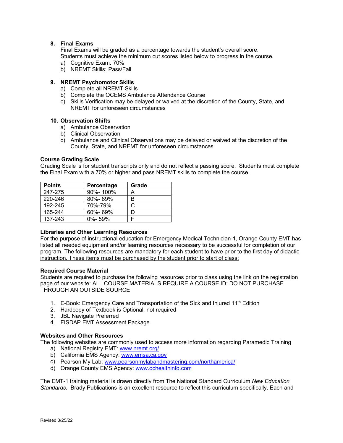## **8. Final Exams**

Final Exams will be graded as a percentage towards the student's overall score. Students must achieve the minimum cut scores listed below to progress in the course.

- a) Cognitive Exam: 70%
- b) NREMT Skills: Pass/Fail

## **9. NREMT Psychomotor Skills**

- a) Complete all NREMT Skills
- b) Complete the OCEMS Ambulance Attendance Course
- c) Skills Verification may be delayed or waived at the discretion of the County, State, and NREMT for unforeseen circumstances

#### **10. Observation Shifts**

- a) Ambulance Observation
- b) Clinical Observation
- c) Ambulance and Clinical Observations may be delayed or waived at the discretion of the County, State, and NREMT for unforeseen circumstances

#### **Course Grading Scale**

Grading Scale is for student transcripts only and do not reflect a passing score. Students must complete the Final Exam with a 70% or higher and pass NREMT skills to complete the course.

| <b>Points</b> | Percentage    | Grade |
|---------------|---------------|-------|
| 247-275       | 90%-100%      | Α     |
| 220-246       | 80%-89%       | В     |
| 192-245       | 70%-79%       | C     |
| 165-244       | $60\% - 69\%$ |       |
| 137-243       | $0\% - 59\%$  |       |

#### **Libraries and Other Learning Resources**

For the purpose of instructional education for Emergency Medical Technician-1, Orange County EMT has listed all needed equipment and/or learning resources necessary to be successful for completion of our program. The following resources are mandatory for each student to have prior to the first day of didactic instruction. These items must be purchased by the student prior to start of class:

#### **Required Course Material**

Students are required to purchase the following resources prior to class using the link on the registration page of our website: ALL COURSE MATERIALS REQUIRE A COURSE ID: DO NOT PURCHASE THROUGH AN OUTSIDE SOURCE

- 1.  $E$ -Book: Emergency Care and Transportation of the Sick and Injured 11<sup>th</sup> Edition
- 2. Hardcopy of Textbook is Optional, not required
- 3. JBL Navigate Preferred
- 4. FISDAP EMT Assessment Package

## **Websites and Other Resources**

The following websites are commonly used to access more information regarding Paramedic Training

- a) National Registry EMT: [www.nremt.org/](http://www.nremt.org/)
- b) California EMS Agency: [www.emsa.ca.gov](http://www.emsa.ca.gov/)
- c) Pearson My Lab: [www.pearsonmylabandmastering.com/northamerica/](http://www.pearsonmylabandmastering.com/northamerica/)
- d) Orange County EMS Agency: [www.ochealthinfo.com](http://www.ochealthinfo.com/)

The EMT-1 training material is drawn directly from The National Standard Curriculum *New Education Standards*. Brady Publications is an excellent resource to reflect this curriculum specifically. Each and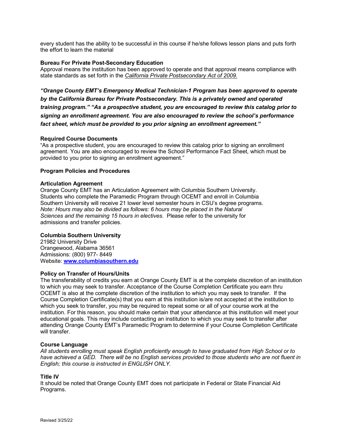every student has the ability to be successful in this course if he/she follows lesson plans and puts forth the effort to learn the material

## **Bureau For Private Post-Secondary Education**

Approval means the institution has been approved to operate and that approval means compliance with state standards as set forth in the *California Private Postsecondary Act of 2009.*

*"Orange County EMT's Emergency Medical Technician-1 Program has been approved to operate by the California Bureau for Private Postsecondary. This is a privately owned and operated training program." "As a prospective student, you are encouraged to review this catalog prior to signing an enrollment agreement. You are also encouraged to review the school's performance fact sheet, which must be provided to you prior signing an enrollment agreement."*

#### **Required Course Documents**

"As a prospective student, you are encouraged to review this catalog prior to signing an enrollment agreement. You are also encouraged to review the School Performance Fact Sheet, which must be provided to you prior to signing an enrollment agreement."

## **Program Policies and Procedures**

#### **Articulation Agreement**

Orange County EMT has an Articulation Agreement with Columbia Southern University. Students who complete the Paramedic Program through OCEMT and enroll in Columbia Southern University will receive 21 lower level semester hours in CSU's degree programs. *Note: Hours may also be divided as follows: 6 hours may be placed in the Natural Sciences and the remaining 15 hours in electives*. Please refer to the university for admissions and transfer policies.

#### **Columbia Southern University**

21982 University Drive Orangewood, Alabama 36561 Admissions: (800) 977- 8449 Website: **www.columbiasouthern.edu** 

#### **Policy on Transfer of Hours/Units**

The transferability of credits you earn at Orange County EMT is at the complete discretion of an institution to which you may seek to transfer. Acceptance of the Course Completion Certificate you earn thru OCEMT is also at the complete discretion of the institution to which you may seek to transfer. If the Course Completion Certificate(s) that you earn at this institution is/are not accepted at the institution to which you seek to transfer, you may be required to repeat some or all of your course work at the institution. For this reason, you should make certain that your attendance at this institution will meet your educational goals. This may include contacting an institution to which you may seek to transfer after attending Orange County EMT's Paramedic Program to determine if your Course Completion Certificate will transfer.

#### **Course Language**

*All students enrolling must speak English proficiently enough to have graduated from High School or to have achieved a GED. There will be no English services provided to those students who are not fluent in English; this course is instructed in ENGLISH ONLY.*

#### **Title IV**

It should be noted that Orange County EMT does not participate in Federal or State Financial Aid Programs.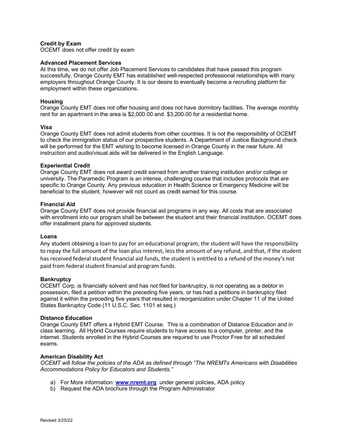## **Credit by Exam**

OCEMT does not offer credit by exam

#### **Advanced Placement Services**

At this time, we do not offer Job Placement Services to candidates that have passed this program successfully. Orange County EMT has established well-respected professional relationships with many employers throughout Orange County. It is our desire to eventually become a recruiting platform for employment within these organizations.

#### **Housing**

Orange County EMT does not offer housing and does not have dormitory facilities. The average monthly rent for an apartment in the area is \$2,000.00 and. \$3,200.00 for a residential home.

#### **Visa**

Orange County EMT does not admit students from other countries. It is not the responsibility of OCEMT to check the immigration status of our prospective students. A Department of Justice Background check will be performed for the EMT wishing to become licensed in Orange County in the near future. All instruction and audio/visual aids will be delivered in the English Language.

#### **Experiential Credit**

Orange County EMT does not award credit earned from another training institution and/or college or university. The Paramedic Program is an intense, challenging course that includes protocols that are specific to Orange County. Any previous education in Health Science or Emergency Medicine will be beneficial to the student, however will not count as credit earned for this course.

#### **Financial Aid**

Orange County EMT does not provide financial aid programs in any way. All costs that are associated with enrollment into our program shall be between the student and their financial institution. OCEMT does offer installment plans for approved students.

#### **Loans**

Any student obtaining a loan to pay for an educational program, the student will have the responsibility to repay the full amount of the loan plus interest, less the amount of any refund, and that, if the student has received federal student financial aid funds, the student is entitled to a refund of the money's not paid from federal student financial aid program funds.

#### **Bankruptcy**

OCEMT Corp. is financially solvent and has not filed for bankruptcy, is not operating as a debtor in possession, filed a petition within the preceding five years, or has had a petitions in bankruptcy filed against it within the preceding five years that resulted in reorganization under Chapter 11 of the United States Bankruptcy Code (11 U.S.C. Sec. 1101 et seq.)

#### **Distance Education**

Orange County EMT offers a Hybrid EMT Course. This is a combination of Distance Education and in class learning. All Hybrid Courses require students to have access to a computer, printer, and the internet. Students enrolled in the Hybrid Courses are required to use Proctor Free for all scheduled exams.

#### **American Disability Act**

*OCEMT will follow the policies of the ADA as defined through "The NREMTs Americans with Disabilities Accommodations Policy for Educators and Students."* 

- a) For More information: **[www.nremt.org](http://www.nremt.org/)** under general policies, ADA policy
- b) Request the ADA brochure through the Program Administrator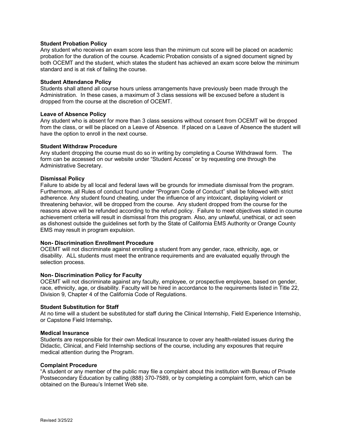## **Student Probation Policy**

Any student who receives an exam score less than the minimum cut score will be placed on academic probation for the duration of the course. Academic Probation consists of a signed document signed by both OCEMT and the student, which states the student has achieved an exam score below the minimum standard and is at risk of failing the course.

#### **Student Attendance Policy**

Students shall attend all course hours unless arrangements have previously been made through the Administration. In these cases, a maximum of 3 class sessions will be excused before a student is dropped from the course at the discretion of OCEMT.

#### **Leave of Absence Policy**

Any student who is absent for more than 3 class sessions without consent from OCEMT will be dropped from the class, or will be placed on a Leave of Absence. If placed on a Leave of Absence the student will have the option to enroll in the next course.

#### **Student Withdraw Procedure**

Any student dropping the course must do so in writing by completing a Course Withdrawal form. The form can be accessed on our website under "Student Access" or by requesting one through the Administrative Secretary.

#### **Dismissal Policy**

Failure to abide by all local and federal laws will be grounds for immediate dismissal from the program. Furthermore, all Rules of conduct found under "Program Code of Conduct" shall be followed with strict adherence. Any student found cheating, under the influence of any intoxicant, displaying violent or threatening behavior, will be dropped from the course. Any student dropped from the course for the reasons above will be refunded according to the refund policy. Failure to meet objectives stated in course achievement criteria will result in dismissal from this program. Also, any unlawful, unethical, or act seen as dishonest outside the guidelines set forth by the State of California EMS Authority or Orange County EMS may result in program expulsion.

#### **Non- Discrimination Enrollment Procedure**

OCEMT will not discriminate against enrolling a student from any gender, race, ethnicity, age, or disability. ALL students must meet the entrance requirements and are evaluated equally through the selection process.

#### **Non- Discrimination Policy for Faculty**

OCEMT will not discriminate against any faculty, employee, or prospective employee, based on gender, race, ethnicity, age, or disability. Faculty will be hired in accordance to the requirements listed in Title 22, Division 9, Chapter 4 of the California Code of Regulations.

#### **Student Substitution for Staff**

At no time will a student be substituted for staff during the Clinical Internship, Field Experience Internship, or Capstone Field Internship**.**

#### **Medical Insurance**

Students are responsible for their own Medical Insurance to cover any health-related issues during the Didactic, Clinical, and Field Internship sections of the course, including any exposures that require medical attention during the Program.

#### **Complaint Procedure**

"A student or any member of the public may file a complaint about this institution with Bureau of Private Postsecondary Education by calling (888) 370-7589, or by completing a complaint form, which can be obtained on the Bureau's Internet Web site.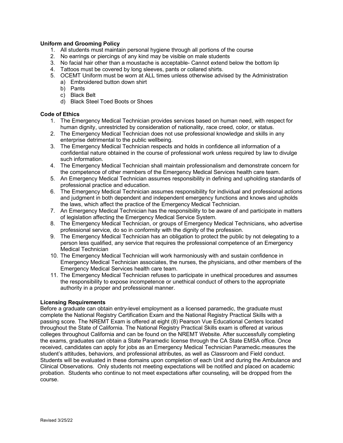## **Uniform and Grooming Policy**

- 1. All students must maintain personal hygiene through all portions of the course
- 2. No earrings or piercings of any kind may be visible on male students
- 3. No facial hair other than a moustache is acceptable- Cannot extend below the bottom lip
- 4. Tattoos must be covered by long sleeves, pants or collared shirts.
- 5. OCEMT Uniform must be worn at ALL times unless otherwise advised by the Administration a) Embroidered button down shirt
	- b) Pants
	- c) Black Belt
	- d) Black Steel Toed Boots or Shoes

# **Code of Ethics**

- 1. The Emergency Medical Technician provides services based on human need, with respect for human dignity, unrestricted by consideration of nationality, race creed, color, or status.
- 2. The Emergency Medical Technician does not use professional knowledge and skills in any enterprise detrimental to the public wellbeing.
- 3. The Emergency Medical Technician respects and holds in confidence all information of a confidential nature obtained in the course of professional work unless required by law to divulge such information.
- 4. The Emergency Medical Technician shall maintain professionalism and demonstrate concern for the competence of other members of the Emergency Medical Services health care team.
- 5. An Emergency Medical Technician assumes responsibility in defining and upholding standards of professional practice and education.
- 6. The Emergency Medical Technician assumes responsibility for individual and professional actions and judgment in both dependent and independent emergency functions and knows and upholds the laws, which affect the practice of the Emergency Medical Technician.
- 7. An Emergency Medical Technician has the responsibility to be aware of and participate in matters of legislation affecting the Emergency Medical Service System.
- 8. The Emergency Medical Technician, or groups of Emergency Medical Technicians, who advertise professional service, do so in conformity with the dignity of the profession.
- 9. The Emergency Medical Technician has an obligation to protect the public by not delegating to a person less qualified, any service that requires the professional competence of an Emergency Medical Technician
- 10. The Emergency Medical Technician will work harmoniously with and sustain confidence in Emergency Medical Technician associates, the nurses, the physicians, and other members of the Emergency Medical Services health care team.
- 11. The Emergency Medical Technician refuses to participate in unethical procedures and assumes the responsibility to expose incompetence or unethical conduct of others to the appropriate authority in a proper and professional manner.

#### **Licensing Requirements**

Before a graduate can obtain entry-level employment as a licensed paramedic, the graduate must complete the National Registry Certification Exam and the National Registry Practical Skills with a passing score. The NREMT Exam is offered at eight (8) Pearson Vue Educational Centers located throughout the State of California. The National Registry Practical Skills exam is offered at various colleges throughout California and can be found on the NREMT Website. After successfully completing the exams, graduates can obtain a State Paramedic license through the CA State EMSA office. Once received, candidates can apply for jobs as an Emergency Medical Technician Paramedic.measures the student's attitudes, behaviors, and professional attributes, as well as Classroom and Field conduct. Students will be evaluated in these domains upon completion of each Unit and during the Ambulance and Clinical Observations. Only students not meeting expectations will be notified and placed on academic probation. Students who continue to not meet expectations after counseling, will be dropped from the course.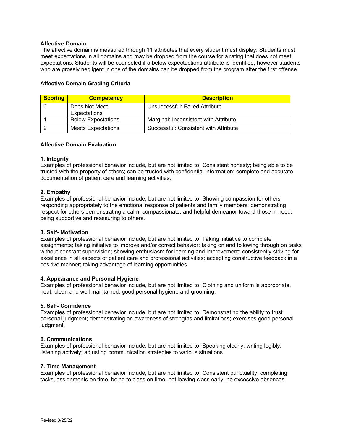## **Affective Domain**

The affective domain is measured through 11 attributes that every student must display. Students must meet expectations in all domains and may be dropped from the course for a rating that does not meet expectations. Students will be counseled if a below expectactions attribute is identified, however students who are grossly negligent in one of the domains can be dropped from the program after the first offense.

| <b>Scoring</b> | <b>Competency</b>         | <b>Description</b>                    |
|----------------|---------------------------|---------------------------------------|
|                | Does Not Meet             | Unsuccessful: Failed Attribute        |
|                | Expectations              |                                       |
|                | <b>Below Expectations</b> | Marginal: Inconsistent with Attribute |
|                | <b>Meets Expectations</b> | Successful: Consistent with Attribute |

#### **Affective Domain Evaluation**

#### **1. Integrity**

Examples of professional behavior include, but are not limited to: Consistent honesty; being able to be trusted with the property of others; can be trusted with confidential information; complete and accurate documentation of patient care and learning activities.

#### **2. Empathy**

Examples of professional behavior include, but are not limited to: Showing compassion for others; responding appropriately to the emotional response of patients and family members; demonstrating respect for others demonstrating a calm, compassionate, and helpful demeanor toward those in need; being supportive and reassuring to others.

#### **3. Self- Motivation**

Examples of professional behavior include, but are not limited to: Taking initiative to complete assignments; taking initiative to improve and/or correct behavior; taking on and following through on tasks without constant supervision; showing enthusiasm for learning and improvement; consistently striving for excellence in all aspects of patient care and professional activities; accepting constructive feedback in a positive manner; taking advantage of learning opportunities

#### **4. Appearance and Personal Hygiene**

Examples of professional behavior include, but are not limited to: Clothing and uniform is appropriate, neat, clean and well maintained; good personal hygiene and grooming.

#### **5. Self- Confidence**

Examples of professional behavior include, but are not limited to: Demonstrating the ability to trust personal judgment; demonstrating an awareness of strengths and limitations; exercises good personal judgment.

#### **6. Communications**

Examples of professional behavior include, but are not limited to: Speaking clearly; writing legibly; listening actively; adjusting communication strategies to various situations

#### **7. Time Management**

Examples of professional behavior include, but are not limited to: Consistent punctuality; completing tasks, assignments on time, being to class on time, not leaving class early, no excessive absences.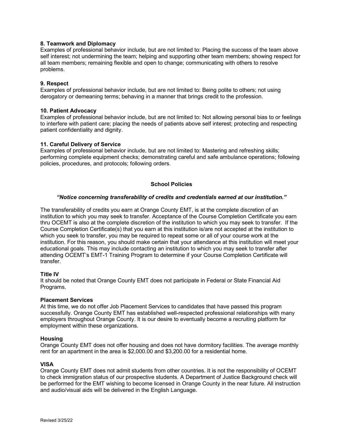## **8. Teamwork and Diplomacy**

Examples of professional behavior include, but are not limited to: Placing the success of the team above self interest; not undermining the team; helping and supporting other team members; showing respect for all team members; remaining flexible and open to change; communicating with others to resolve problems.

#### **9. Respect**

Examples of professional behavior include, but are not limited to: Being polite to others; not using derogatory or demeaning terms; behaving in a manner that brings credit to the profession.

#### **10. Patient Advocacy**

Examples of professional behavior include, but are not limited to: Not allowing personal bias to or feelings to interfere with patient care; placing the needs of patients above self interest; protecting and respecting patient confidentiality and dignity.

#### **11. Careful Delivery of Service**

Examples of professional behavior include, but are not limited to: Mastering and refreshing skills; performing complete equipment checks; demonstrating careful and safe ambulance operations; following policies, procedures, and protocols; following orders.

#### **School Policies**

#### *"Notice concerning transferability of credits and credentials earned at our institution."*

The transferability of credits you earn at Orange County EMT, is at the complete discretion of an institution to which you may seek to transfer. Acceptance of the Course Completion Certificate you earn thru OCEMT is also at the complete discretion of the institution to which you may seek to transfer. If the Course Completion Certificate(s) that you earn at this institution is/are not accepted at the institution to which you seek to transfer, you may be required to repeat some or all of your course work at the institution. For this reason, you should make certain that your attendance at this institution will meet your educational goals. This may include contacting an institution to which you may seek to transfer after attending OCEMT's EMT-1 Training Program to determine if your Course Completion Certificate will transfer.

#### **Title IV**

It should be noted that Orange County EMT does not participate in Federal or State Financial Aid Programs.

#### **Placement Services**

At this time, we do not offer Job Placement Services to candidates that have passed this program successfully. Orange County EMT has established well-respected professional relationships with many employers throughout Orange County. It is our desire to eventually become a recruiting platform for employment within these organizations.

#### **Housing**

Orange County EMT does not offer housing and does not have dormitory facilities. The average monthly rent for an apartment in the area is \$2,000.00 and \$3,200.00 for a residential home.

#### **VISA**

Orange County EMT does not admit students from other countries. It is not the responsibility of OCEMT to check immigration status of our prospective students. A Department of Justice Background check will be performed for the EMT wishing to become licensed in Orange County in the near future. All instruction and audio/visual aids will be delivered in the English Language.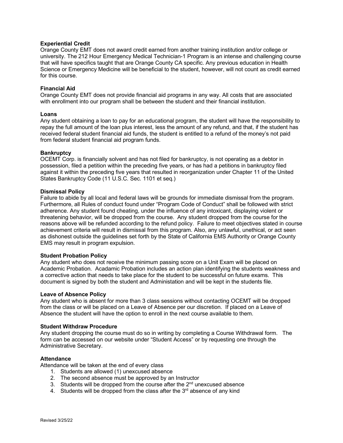## **Experiential Credit**

Orange County EMT does not award credit earned from another training institution and/or college or university. The 212 Hour Emergency Medical Technician-1 Program is an intense and challenging course that will have specifics taught that are Orange County CA specific. Any previous education in Health Science or Emergency Medicine will be beneficial to the student, however, will not count as credit earned for this course.

#### **Financial Aid**

Orange County EMT does not provide financial aid programs in any way. All costs that are associated with enrollment into our program shall be between the student and their financial institution.

#### **Loans**

Any student obtaining a loan to pay for an educational program, the student will have the responsibility to repay the full amount of the loan plus interest, less the amount of any refund, and that, if the student has received federal student financial aid funds, the student is entitled to a refund of the money's not paid from federal student financial aid program funds.

#### **Bankruptcy**

OCEMT Corp. is financially solvent and has not filed for bankruptcy, is not operating as a debtor in possession, filed a petition within the preceding five years, or has had a petitions in bankruptcy filed against it within the preceding five years that resulted in reorganization under Chapter 11 of the United States Bankruptcy Code (11 U.S.C. Sec. 1101 et seq.)

#### **Dismissal Policy**

Failure to abide by all local and federal laws will be grounds for immediate dismissal from the program. Furthermore, all Rules of conduct found under "Program Code of Conduct" shall be followed with strict adherence. Any student found cheating, under the influence of any intoxicant, displaying violent or threatening behavior, will be dropped from the course. Any student dropped from the course for the reasons above will be refunded according to the refund policy. Failure to meet objectives stated in course achievement criteria will result in dismissal from this program. Also, any unlawful, unethical, or act seen as dishonest outside the guidelines set forth by the State of California EMS Authority or Orange County EMS may result in program expulsion.

#### **Student Probation Policy**

Any student who does not receive the minimum passing score on a Unit Exam will be placed on Academic Probation. Acadamic Probation includes an action plan identifying the students weakness and a corrective action that needs to take place for the student to be successful on future exams. This document is signed by both the student and Administation and will be kept in the students file.

#### **Leave of Absence Policy**

Any student who is absent for more than 3 class sessions without contacting OCEMT will be dropped from the class or will be placed on a Leave of Absence per our discretion. If placed on a Leave of Absence the student will have the option to enroll in the next course available to them.

#### **Student Withdraw Procedure**

Any student dropping the course must do so in writing by completing a Course Withdrawal form. The form can be accessed on our website under "Student Access" or by requesting one through the Administrative Secretary.

#### **Attendance**

Attendance will be taken at the end of every class

- 1. Students are allowed (1) unexcused absence
- 2. The second absence must be approved by an Instructor
- 3. Students will be dropped from the course after the 2<sup>nd</sup> unexcused absence
- 4. Students will be dropped from the class after the  $3<sup>rd</sup>$  absence of any kind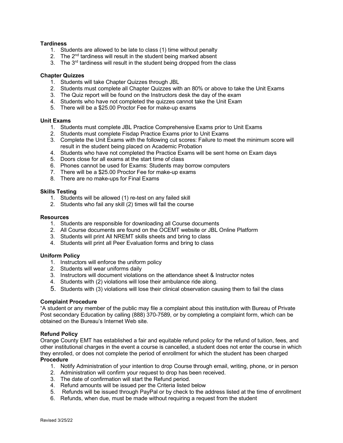## **Tardiness**

- 1. Students are allowed to be late to class (1) time without penalty
- 2. The  $2<sup>nd</sup>$  tardiness will result in the student being marked absent
- 3. The  $3<sup>rd</sup>$  tardiness will result in the student being dropped from the class

#### **Chapter Quizzes**

- 1. Students will take Chapter Quizzes through JBL
- 2. Students must complete all Chapter Quizzes with an 80% or above to take the Unit Exams
- 3. The Quiz report will be found on the Instructors desk the day of the exam
- 4. Students who have not completed the quizzes cannot take the Unit Exam
- 5. There will be a \$25.00 Proctor Fee for make-up exams

#### **Unit Exams**

- 1. Students must complete JBL Practice Comprehensive Exams prior to Unit Exams
- 2. Students must complete Fisdap Practice Exams prior to Unit Exams
- 3. Complete the Unit Exams with the following cut scores: Failure to meet the minimum score will result in the student being placed on Academic Probation
- 4. Students who have not completed the Practice Exams will be sent home on Exam days
- 5. Doors close for all exams at the start time of class
- 6. Phones cannot be used for Exams: Students may borrow computers
- 7. There will be a \$25.00 Proctor Fee for make-up exams
- 8. There are no make-ups for Final Exams

## **Skills Testing**

- 1. Students will be allowed (1) re-test on any failed skill
- 2. Students who fail any skill (2) times will fail the course

#### **Resources**

- 1. Students are responsible for downloading all Course documents
- 2. All Course documents are found on the OCEMT website or JBL Online Platform
- 3. Students will print All NREMT skills sheets and bring to class
- 4. Students will print all Peer Evaluation forms and bring to class

#### **Uniform Policy**

- 1. Instructors will enforce the uniform policy
- 2. Students will wear uniforms daily
- 3. Instructors will document violations on the attendance sheet & Instructor notes
- 4. Students with (2) violations will lose their ambulance ride along.
- 5. Students with (3) violations will lose their clinical observation causing them to fail the class

#### **Complaint Procedure**

"A student or any member of the public may file a complaint about this institution with Bureau of Private Post secondary Education by calling (888) 370-7589, or by completing a complaint form, which can be obtained on the Bureau's Internet Web site.

#### **Refund Policy**

Orange County EMT has established a fair and equitable refund policy for the refund of tuition, fees, and other institutional charges in the event a course is cancelled, a student does not enter the course in which they enrolled, or does not complete the period of enrollment for which the student has been charged **Procedure**

- 1. Notify Administration of your intention to drop Course through email, writing, phone, or in person
- 2. Administration will confirm your request to drop has been received.
- 3. The date of confirmation will start the Refund period.
- 4. Refund amounts will be issued per the Criteria listed below
- 5. Refunds will be issued through PayPal or by check to the address listed at the time of enrollment
- 6. Refunds, when due, must be made without requiring a request from the student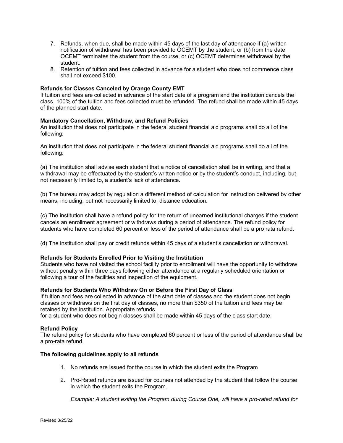- 7. Refunds, when due, shall be made within 45 days of the last day of attendance if (a) written notification of withdrawal has been provided to OCEMT by the student, or (b) from the date OCEMT terminates the student from the course, or (c) OCEMT determines withdrawal by the student.
- 8. Retention of tuition and fees collected in advance for a student who does not commence class shall not exceed \$100.

#### **Refunds for Classes Canceled by Orange County EMT**

If tuition and fees are collected in advance of the start date of a program and the institution cancels the class, 100% of the tuition and fees collected must be refunded. The refund shall be made within 45 days of the planned start date.

#### **Mandatory Cancellation, Withdraw, and Refund Policies**

An institution that does not participate in the federal student financial aid programs shall do all of the following:

An institution that does not participate in the federal student financial aid programs shall do all of the following:

(a) The institution shall advise each student that a notice of cancellation shall be in writing, and that a withdrawal may be effectuated by the student's written notice or by the student's conduct, including, but not necessarily limited to, a student's lack of attendance.

(b) The bureau may adopt by regulation a different method of calculation for instruction delivered by other means, including, but not necessarily limited to, distance education.

(c) The institution shall have a refund policy for the return of unearned institutional charges if the student cancels an enrollment agreement or withdraws during a period of attendance. The refund policy for students who have completed 60 percent or less of the period of attendance shall be a pro rata refund.

(d) The institution shall pay or credit refunds within 45 days of a student's cancellation or withdrawal.

#### **Refunds for Students Enrolled Prior to Visiting the Institution**

Students who have not visited the school facility prior to enrollment will have the opportunity to withdraw without penalty within three days following either attendance at a regularly scheduled orientation or following a tour of the facilities and inspection of the equipment.

#### **Refunds for Students Who Withdraw On or Before the First Day of Class**

If tuition and fees are collected in advance of the start date of classes and the student does not begin classes or withdraws on the first day of classes, no more than \$350 of the tuition and fees may be retained by the institution. Appropriate refunds

for a student who does not begin classes shall be made within 45 days of the class start date.

#### **Refund Policy**

The refund policy for students who have completed 60 percent or less of the period of attendance shall be a pro-rata refund.

#### **The following guidelines apply to all refunds**

- 1. No refunds are issued for the course in which the student exits the Program
- 2. Pro-Rated refunds are issued for courses not attended by the student that follow the course in which the student exits the Program.

*Example: A student exiting the Program during Course One, will have a pro-rated refund for*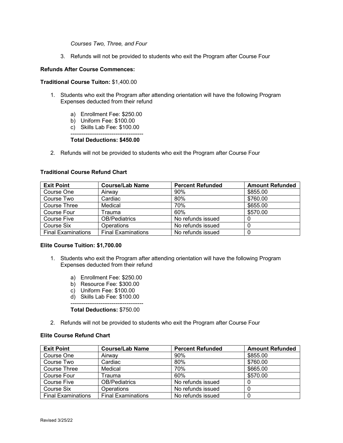## *Courses Two, Three, and Four*

3. Refunds will not be provided to students who exit the Program after Course Four

#### **Refunds After Course Commences:**

#### **Traditional Course Tuiton:** \$1,400.00

- 1. Students who exit the Program after attending orientation will have the following Program Expenses deducted from their refund
	- a) Enrollment Fee: \$250.00
	- b) Uniform Fee: \$100.00
	- c) Skills Lab Fee: \$100.00

#### --------------------------------------- **Total Deductions: \$450.00**

2. Refunds will not be provided to students who exit the Program after Course Four

#### **Traditional Course Refund Chart**

| <b>Exit Point</b>         | <b>Course/Lab Name</b>    | <b>Percent Refunded</b> | <b>Amount Refunded</b> |
|---------------------------|---------------------------|-------------------------|------------------------|
| Course One                | Airway                    | 90%                     | \$855.00               |
| Course Two                | Cardiac                   | 80%                     | \$760.00               |
| Course Three              | Medical                   | 70%                     | \$655.00               |
| Course Four               | Trauma                    | 60%                     | \$570.00               |
| <b>Course Five</b>        | <b>OB/Pediatrics</b>      | No refunds issued       |                        |
| Course Six                | <b>Operations</b>         | No refunds issued       |                        |
| <b>Final Examinations</b> | <b>Final Examinations</b> | No refunds issued       |                        |

#### **Elite Course Tuition: \$1,700.00**

- 1. Students who exit the Program after attending orientation will have the following Program Expenses deducted from their refund
	- a) Enrollment Fee: \$250.00
	- b) Resource Fee: \$300.00
	- c) Uniform Fee: \$100.00
	- d) Skills Lab Fee: \$100.00

#### --------------------------------------- **Total Deductions:** \$750.00

2. Refunds will not be provided to students who exit the Program after Course Four

#### **Elite Course Refund Chart**

| <b>Exit Point</b>         | <b>Course/Lab Name</b>    | <b>Percent Refunded</b> | <b>Amount Refunded</b> |
|---------------------------|---------------------------|-------------------------|------------------------|
| Course One                | Airway                    | 90%                     | \$855.00               |
| Course Two                | Cardiac                   | 80%                     | \$760.00               |
| Course Three              | Medical                   | 70%                     | \$665.00               |
| Course Four               | Frauma                    | 60%                     | \$570.00               |
| <b>Course Five</b>        | <b>OB/Pediatrics</b>      | No refunds issued       | 0                      |
| Course Six                | <b>Operations</b>         | No refunds issued       | 0                      |
| <b>Final Examinations</b> | <b>Final Examinations</b> | No refunds issued       | 0                      |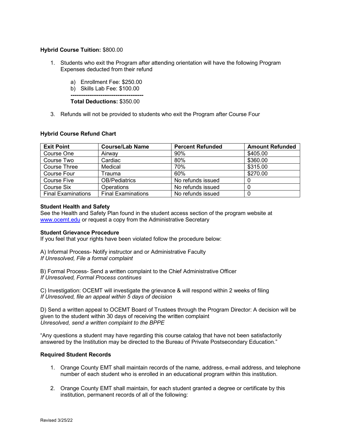## **Hybrid Course Tuition:** \$800.00

- 1. Students who exit the Program after attending orientation will have the following Program Expenses deducted from their refund
	- a) Enrollment Fee: \$250.00
	- b) Skills Lab Fee: \$100.00

**--------------------------------------- Total Deductions:** \$350.00

3. Refunds will not be provided to students who exit the Program after Course Four

## **Hybrid Course Refund Chart**

| <b>Exit Point</b>         | <b>Course/Lab Name</b>    | <b>Percent Refunded</b> | <b>Amount Refunded</b> |
|---------------------------|---------------------------|-------------------------|------------------------|
| Course One                | Airway                    | 90%                     | \$405.00               |
| Course Two                | Cardiac                   | 80%                     | \$360.00               |
| Course Three              | Medical                   | 70%                     | \$315.00               |
| Course Four               | Trauma                    | 60%                     | \$270.00               |
| <b>Course Five</b>        | <b>OB/Pediatrics</b>      | No refunds issued       |                        |
| Course Six                | <b>Operations</b>         | No refunds issued       |                        |
| <b>Final Examinations</b> | <b>Final Examinations</b> | No refunds issued       | 0                      |

#### **Student Health and Safety**

See the Health and Safety Plan found in the student access section of the program website at [www.ocemt.edu](http://www.ocemt.edu/) or request a copy from the Administrative Secretary

#### **Student Grievance Procedure**

If you feel that your rights have been violated follow the procedure below:

A) Informal Process- Notify instructor and or Administrative Faculty *If Unresolved, File a formal complaint* 

B) Formal Process- Send a written complaint to the Chief Administrative Officer *If Unresolved, Formal Process continues*

C) Investigation: OCEMT will investigate the grievance & will respond within 2 weeks of filing *If Unresolved, file an appeal within 5 days of decision* 

D) Send a written appeal to OCEMT Board of Trustees through the Program Director: A decision will be given to the student within 30 days of receiving the written complaint *Unresolved, send a written complaint to the BPPE* 

"Any questions a student may have regarding this course catalog that have not been satisfactorily answered by the Institution may be directed to the Bureau of Private Postsecondary Education."

#### **Required Student Records**

- 1. Orange County EMT shall maintain records of the name, address, e-mail address, and telephone number of each student who is enrolled in an educational program within this institution.
- 2. Orange County EMT shall maintain, for each student granted a degree or certificate by this institution, permanent records of all of the following: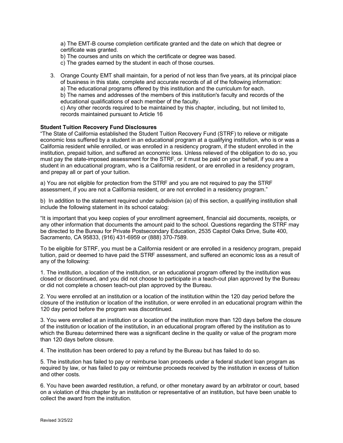a) The EMT-B course completion certificate granted and the date on which that degree or certificate was granted.

b) The courses and units on which the certificate or degree was based.

c) The grades earned by the student in each of those courses.

3. Orange County EMT shall maintain, for a period of not less than five years, at its principal place of business in this state, complete and accurate records of all of the following information: a) The educational programs offered by this institution and the curriculum for each. b) The names and addresses of the members of this institution's faculty and records of the educational qualifications of each member of the faculty. c) Any other records required to be maintained by this chapter, including, but not limited to, records maintained pursuant to Article 16

## **Student Tuition Recovery Fund Disclosures**

"The State of California established the Student Tuition Recovery Fund (STRF) to relieve or mitigate economic loss suffered by a student in an educational program at a qualifying institution, who is or was a California resident while enrolled, or was enrolled in a residency program, if the student enrolled in the institution, prepaid tuition, and suffered an economic loss. Unless relieved of the obligation to do so, you must pay the state-imposed assessment for the STRF, or it must be paid on your behalf, if you are a student in an educational program, who is a California resident, or are enrolled in a residency program, and prepay all or part of your tuition.

a) You are not eligible for protection from the STRF and you are not required to pay the STRF assessment, if you are not a California resident, or are not enrolled in a residency program."

b) In addition to the statement required under subdivision (a) of this section, a qualifying institution shall include the following statement in its school catalog:

"It is important that you keep copies of your enrollment agreement, financial aid documents, receipts, or any other information that documents the amount paid to the school. Questions regarding the STRF may be directed to the Bureau for Private Postsecondary Education, 2535 Capitol Oaks Drive, Suite 400, Sacramento, CA 95833, (916) 431-6959 or (888) 370-7589.

To be eligible for STRF, you must be a California resident or are enrolled in a residency program, prepaid tuition, paid or deemed to have paid the STRF assessment, and suffered an economic loss as a result of any of the following:

1. The institution, a location of the institution, or an educational program offered by the institution was closed or discontinued, and you did not choose to participate in a teach-out plan approved by the Bureau or did not complete a chosen teach-out plan approved by the Bureau.

2. You were enrolled at an institution or a location of the institution within the 120 day period before the closure of the institution or location of the institution, or were enrolled in an educational program within the 120 day period before the program was discontinued.

3. You were enrolled at an institution or a location of the institution more than 120 days before the closure of the institution or location of the institution, in an educational program offered by the institution as to which the Bureau determined there was a significant decline in the quality or value of the program more than 120 days before closure.

4. The institution has been ordered to pay a refund by the Bureau but has failed to do so.

5. The institution has failed to pay or reimburse loan proceeds under a federal student loan program as required by law, or has failed to pay or reimburse proceeds received by the institution in excess of tuition and other costs.

6. You have been awarded restitution, a refund, or other monetary award by an arbitrator or court, based on a violation of this chapter by an institution or representative of an institution, but have been unable to collect the award from the institution.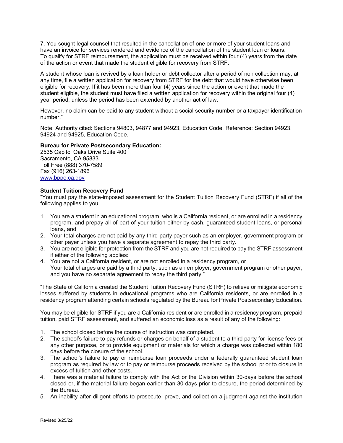7. You sought legal counsel that resulted in the cancellation of one or more of your student loans and have an invoice for services rendered and evidence of the cancellation of the student loan or loans. To qualify for STRF reimbursement, the application must be received within four (4) years from the date of the action or event that made the student eligible for recovery from STRF.

A student whose loan is revived by a loan holder or debt collector after a period of non collection may, at any time, file a written application for recovery from STRF for the debt that would have otherwise been eligible for recovery. If it has been more than four (4) years since the action or event that made the student eligible, the student must have filed a written application for recovery within the original four (4) year period, unless the period has been extended by another act of law.

However, no claim can be paid to any student without a social security number or a taxpayer identification number."

Note: Authority cited: Sections 94803, 94877 and 94923, Education Code. Reference: Section 94923, 94924 and 94925, Education Code.

#### **Bureau for Private Postsecondary Education:**

2535 Capitol Oaks Drive Suite 400 Sacramento, CA 95833 Toll Free (888) 370-7589 Fax (916) 263-1896 [www.bppe.ca.gov](http://www.bppe.ca.gov/)

#### **Student Tuition Recovery Fund**

"You must pay the state-imposed assessment for the Student Tuition Recovery Fund (STRF) if all of the following applies to you:

- 1. You are a student in an educational program, who is a California resident, or are enrolled in a residency program, and prepay all of part of your tuition either by cash, guaranteed student loans, or personal loans, and
- 2. Your total charges are not paid by any third-party payer such as an employer, government program or other payer unless you have a separate agreement to repay the third party.
- 3. You are not eligible for protection from the STRF and you are not required to pay the STRF assessment if either of the following applies:
- 4. You are not a California resident, or are not enrolled in a residency program, or Your total charges are paid by a third party, such as an employer, government program or other payer, and you have no separate agreement to repay the third party."

"The State of California created the Student Tuition Recovery Fund (STRF) to relieve or mitigate economic losses suffered by students in educational programs who are California residents, or are enrolled in a residency program attending certain schools regulated by the Bureau for Private Postsecondary Education.

You may be eligible for STRF if you are a California resident or are enrolled in a residency program, prepaid tuition, paid STRF assessment, and suffered an economic loss as a result of any of the following:

- 1. The school closed before the course of instruction was completed.
- 2. The school's failure to pay refunds or charges on behalf of a student to a third party for license fees or any other purpose, or to provide equipment or materials for which a charge was collected within 180 days before the closure of the school.
- 3. The school's failure to pay or reimburse loan proceeds under a federally guaranteed student loan program as required by law or to pay or reimburse proceeds received by the school prior to closure in excess of tuition and other costs.
- 4. There was a material failure to comply with the Act or the Division within 30-days before the school closed or, if the material failure began earlier than 30-days prior to closure, the period determined by the Bureau.
- 5. An inability after diligent efforts to prosecute, prove, and collect on a judgment against the institution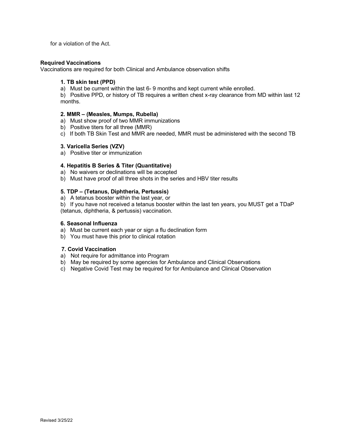for a violation of the Act.

#### **Required Vaccinations**

Vaccinations are required for both Clinical and Ambulance observation shifts

#### **1. TB skin test (PPD)**

a) Must be current within the last 6- 9 months and kept current while enrolled.

b) Positive PPD, or history of TB requires a written chest x-ray clearance from MD within last 12 months.

#### **2. MMR – (Measles, Mumps, Rubella)**

- a) Must show proof of two MMR immunizations
- b) Positive titers for all three (MMR)
- c) If both TB Skin Test and MMR are needed, MMR must be administered with the second TB

## **3. Varicella Series (VZV)**

a) Positive titer or immunization

## **4. Hepatitis B Series & Titer (Quantitative)**

- a) No waivers or declinations will be accepted
- b) Must have proof of all three shots in the series and HBV titer results

## **5. TDP – (Tetanus, Diphtheria, Pertussis)**

a) A tetanus booster within the last year, or

b) If you have not received a tetanus booster within the last ten years, you MUST get a TDaP (tetanus, diphtheria, & pertussis) vaccination.

#### **6. Seasonal Influenza**

- a) Must be current each year or sign a flu declination form
- b) You must have this prior to clinical rotation

#### **7. Covid Vaccination**

- a) Not require for admittance into Program
- b) May be required by some agencies for Ambulance and Clinical Observations
- c) Negative Covid Test may be required for for Ambulance and Clinical Observation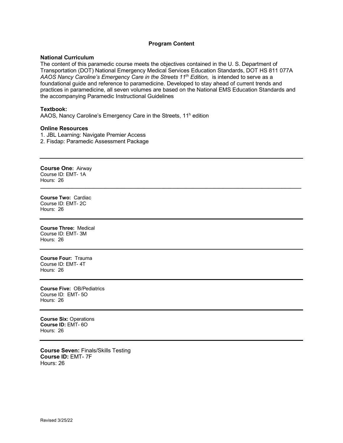## **Program Content**

#### **National Curriculum**

The content of this paramedic course meets the objectives contained in the U. S. Department of Transportation (DOT) National Emergency Medical Services Education Standards, DOT HS 811 077A *AAOS Nancy Caroline's Emergency Care in the Streets 11th Edition,* is intended to serve as a foundational guide and reference to paramedicine. Developed to stay ahead of current trends and practices in paramedicine, all seven volumes are based on the National EMS Education Standards and the accompanying Paramedic Instructional Guidelines

**\_\_\_\_\_\_\_\_\_\_\_\_\_\_\_\_\_\_\_\_\_\_\_\_\_\_\_\_\_\_\_\_\_\_\_\_\_\_\_\_\_\_\_\_\_\_\_\_\_\_\_\_\_\_\_\_\_\_\_\_\_\_\_\_\_\_\_\_\_\_\_\_\_\_\_\_\_\_\_\_\_\_\_\_\_\_\_\_\_\_\_\_\_**

#### **Textbook:**

AAOS, Nancy Caroline's Emergency Care in the Streets, 11<sup>h</sup> edition

#### **Online Resources**

- 1. JBL Learning: Navigate Premier Access
- 2. Fisdap: Paramedic Assessment Package

**Course One:** Airway Course ID: EMT- 1A Hours: 26

**Course Two:** Cardiac Course ID: EMT- 2C Hours: 26

**Course Three:** Medical Course ID: EMT- 3M Hours: 26

**Course Four:** Trauma Course ID: EMT- 4T Hours: 26

**Course Five:** OB/Pediatrics Course ID: EMT- 5O Hours: 26

**Course Six:** Operations **Course ID:** EMT- 6O Hours: 26

**Course Seven:** Finals/Skills Testing **Course ID:** EMT- 7F Hours: 26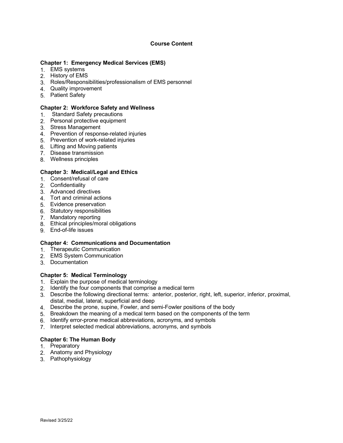# **Course Content**

## **Chapter 1: Emergency Medical Services (EMS)**

- 1. EMS systems
- 2. History of EMS
- 3. Roles/Responsibilities/professionalism of EMS personnel
- 4. Quality improvement
- 5. Patient Safety

## **Chapter 2: Workforce Safety and Wellness**

- 1. Standard Safety precautions
- 2. Personal protective equipment
- 3. Stress Management
- 4. Prevention of response-related injuries
- 5. Prevention of work-related injuries
- 6. Lifting and Moving patients
- 7. Disease transmission
- 8. Wellness principles

# **Chapter 3: Medical/Legal and Ethics**

- 1. Consent/refusal of care
- 2. Confidentiality
- 3. Advanced directives
- 4. Tort and criminal actions
- 5. Evidence preservation
- 6. Statutory responsibilities
- 7. Mandatory reporting
- 8. Ethical principles/moral obligations
- 9. End-of-life issues

#### **Chapter 4: Communications and Documentation**

- 1. Therapeutic Communication
- 2. EMS System Communication
- 3. Documentation

# **Chapter 5: Medical Terminology**

- 1. Explain the purpose of medical terminology
- 2. Identify the four components that comprise a medical term
- 3. Describe the following directional terms: anterior, posterior, right, left, superior, inferior, proximal, distal, medial, lateral, superficial and deep
- 4. Describe the prone, supine, Fowler, and semi-Fowler positions of the body
- 5. Breakdown the meaning of a medical term based on the components of the term
- 6. Identify error-prone medical abbreviations, acronyms, and symbols
- 7. Interpret selected medical abbreviations, acronyms, and symbols

# **Chapter 6: The Human Body**

- 1. Preparatory
- 2. Anatomy and Physiology
- 3. Pathophysiology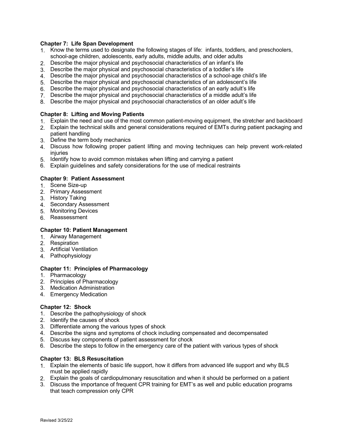## **Chapter 7: Life Span Development**

- 1. Know the terms used to designate the following stages of life: infants, toddlers, and preschoolers, school-age children, adolescents, early adults, middle adults, and older adults
- 2. Describe the major physical and psychosocial characteristics of an infant's life
- 3. Describe the major physical and psychosocial characteristics of a toddler's life
- 4. Describe the major physical and psychosocial characteristics of a school-age child's life
- 5. Describe the major physical and psychosocial characteristics of an adolescent's life
- 6. Describe the major physical and psychosocial characteristics of an early adult's life
- 7. Describe the major physical and psychosocial characteristics of a middle adult's life
- 8. Describe the major physical and psychosocial characteristics of an older adult's life

## **Chapter 8: Lifting and Moving Patients**

- 1. Explain the need and use of the most common patient-moving equipment, the stretcher and backboard
- 2. Explain the technical skills and general considerations required of EMTs during patient packaging and patient handling
- 3. Define the term body mechanics
- 4. Discuss how following proper patient lifting and moving techniques can help prevent work-related injuries
- 5. Identify how to avoid common mistakes when lifting and carrying a patient
- 6. Explain guidelines and safety considerations for the use of medical restraints

#### **Chapter 9: Patient Assessment**

- 1. Scene Size-up
- 2. Primary Assessment
- 3. History Taking
- 4. Secondary Assessment
- 5. Monitoring Devices
- 6. Reassessment

#### **Chapter 10: Patient Management**

- 1. Airway Management
- 2. Respiration
- 3. Artificial Ventilation
- 4. Pathophysiology

#### **Chapter 11: Principles of Pharmacology**

- 1. Pharmacology
- 2. Principles of Pharmacology
- 3. Medication Administration
- 4. Emergency Medication

#### **Chapter 12: Shock**

- 1. Describe the pathophysiology of shock
- 2. Identify the causes of shock
- 3. Differentiate among the various types of shock
- 4. Describe the signs and symptoms of chock including compensated and decompensated
- 5. Discuss key components of patient assessment for chock
- 6. Describe the steps to follow in the emergency care of the patient with various types of shock

#### **Chapter 13: BLS Resuscitation**

- 1. Explain the elements of basic life support, how it differs from advanced life support and why BLS must be applied rapidly
- 2. Explain the goals of cardiopulmonary resuscitation and when it should be performed on a patient
- 3. Discuss the importance of frequent CPR training for EMT's as well and public education programs that teach compression only CPR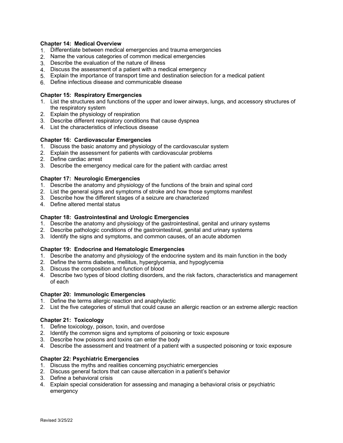## **Chapter 14: Medical Overview**

- 1. Differentiate between medical emergencies and trauma emergencies
- 2. Name the various categories of common medical emergencies
- 3. Describe the evaluation of the nature of illness
- 4. Discuss the assessment of a patient with a medical emergency
- 5. Explain the importance of transport time and destination selection for a medical patient
- 6. Define infectious disease and communicable disease

## **Chapter 15: Respiratory Emergencies**

- 1. List the structures and functions of the upper and lower airways, lungs, and accessory structures of the respiratory system
- 2. Explain the physiology of respiration
- 3. Describe different respiratory conditions that cause dyspnea
- 4. List the characteristics of infectious disease

## **Chapter 16: Cardiovascular Emergencies**

- 1. Discuss the basic anatomy and physiology of the cardiovascular system
- 2. Explain the assessment for patients with cardiovascular problems
- 2. Define cardiac arrest
- 3. Describe the emergency medical care for the patient with cardiac arrest

## **Chapter 17: Neurologic Emergencies**

- 1. Describe the anatomy and physiology of the functions of the brain and spinal cord
- 2. List the general signs and symptoms of stroke and how those symptoms manifest
- 3. Describe how the different stages of a seizure are characterized
- 4. Define altered mental status

## **Chapter 18: Gastrointestinal and Urologic Emergencies**

- 1. Describe the anatomy and physiology of the gastrointestinal, genital and urinary systems
- 2. Describe pathologic conditions of the gastrointestinal, genital and urinary systems
- 3. Identify the signs and symptoms, and common causes, of an acute abdomen

#### **Chapter 19: Endocrine and Hematologic Emergencies**

- 1. Describe the anatomy and physiology of the endocrine system and its main function in the body
- 2. Define the terms diabetes, mellitus, hyperglycemia, and hypoglycemia
- 3. Discuss the composition and function of blood
- 4. Describe two types of blood clotting disorders, and the risk factors, characteristics and management of each

#### **Chapter 20: Immunologic Emergencies**

- 1. Define the terms allergic reaction and anaphylactic
- 2. List the five categories of stimuli that could cause an allergic reaction or an extreme allergic reaction

# **Chapter 21: Toxicology**

- 1. Define toxicology, poison, toxin, and overdose
- 2. Identify the common signs and symptoms of poisoning or toxic exposure
- 3. Describe how poisons and toxins can enter the body
- 4. Describe the assessment and treatment of a patient with a suspected poisoning or toxic exposure

# **Chapter 22: Psychiatric Emergencies**

- 1. Discuss the myths and realities concerning psychiatric emergencies
- 2. Discuss general factors that can cause altercation in a patient's behavior
- 3. Define a behavioral crisis
- 4. Explain special consideration for assessing and managing a behavioral crisis or psychiatric emergency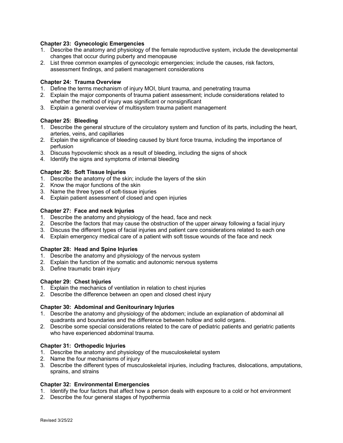## **Chapter 23: Gynecologic Emergencies**

- 1. Describe the anatomy and physiology of the female reproductive system, include the developmental changes that occur during puberty and menopause
- 2. List three common examples of gynecologic emergencies; include the causes, risk factors, assessment findings, and patient management considerations

## **Chapter 24: Trauma Overview**

- 1. Define the terms mechanism of injury MOI, blunt trauma, and penetrating trauma
- 2. Explain the major components of trauma patient assessment; include considerations related to whether the method of injury was significant or nonsignificant
- 3. Explain a general overview of multisystem trauma patient management

## **Chapter 25: Bleeding**

- 1. Describe the general structure of the circulatory system and function of its parts, including the heart, arteries, veins, and capillaries
- 2. Explain the significance of bleeding caused by blunt force trauma, including the importance of perfusion
- 3. Discuss hypovolemic shock as a result of bleeding, including the signs of shock
- 4. Identify the signs and symptoms of internal bleeding

## **Chapter 26: Soft Tissue Injuries**

- 1. Describe the anatomy of the skin; include the layers of the skin
- 2. Know the major functions of the skin
- 3. Name the three types of soft-tissue injuries
- 4. Explain patient assessment of closed and open injuries

## **Chapter 27: Face and neck Injuries**

- 1. Describe the anatomy and physiology of the head, face and neck
- 2. Describe the factors that may cause the obstruction of the upper airway following a facial injury
- 3. Discuss the different types of facial injuries and patient care considerations related to each one
- 4. Explain emergency medical care of a patient with soft tissue wounds of the face and neck

#### **Chapter 28: Head and Spine Injuries**

- 1. Describe the anatomy and physiology of the nervous system
- 2. Explain the function of the somatic and autonomic nervous systems
- 3. Define traumatic brain injury

#### **Chapter 29: Chest Injuries**

- 1. Explain the mechanics of ventilation in relation to chest injuries
- 2. Describe the difference between an open and closed chest injury

# **Chapter 30: Abdominal and Genitourinary Injuries**

- 1. Describe the anatomy and physiology of the abdomen; include an explanation of abdominal all quadrants and boundaries and the difference between hollow and solid organs.
- 2. Describe some special considerations related to the care of pediatric patients and geriatric patients who have experienced abdominal trauma.

#### **Chapter 31: Orthopedic Injuries**

- 1. Describe the anatomy and physiology of the musculoskeletal system
- 2. Name the four mechanisms of injury
- 3. Describe the different types of musculoskeletal injuries, including fractures, dislocations, amputations, sprains, and strains

# **Chapter 32: Environmental Emergencies**

- 1. Identify the four factors that affect how a person deals with exposure to a cold or hot environment
- 2. Describe the four general stages of hypothermia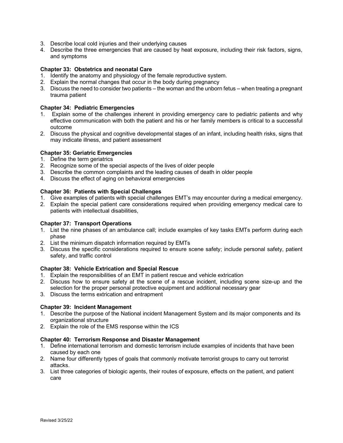- 3. Describe local cold injuries and their underlying causes
- 4. Describe the three emergencies that are caused by heat exposure, including their risk factors, signs, and symptoms

## **Chapter 33: Obstetrics and neonatal Care**

- 1. Identify the anatomy and physiology of the female reproductive system.
- 2. Explain the normal changes that occur in the body during pregnancy
- 3. Discuss the need to consider two patients the woman and the unborn fetus when treating a pregnant trauma patient

## **Chapter 34: Pediatric Emergencies**

- 1. Explain some of the challenges inherent in providing emergency care to pediatric patients and why effective communication with both the patient and his or her family members is critical to a successful outcome
- 2. Discuss the physical and cognitive developmental stages of an infant, including health risks, signs that may indicate illness, and patient assessment

## **Chapter 35: Geriatric Emergencies**

- 1. Define the term geriatrics
- 2. Recognize some of the special aspects of the lives of older people
- 3. Describe the common complaints and the leading causes of death in older people
- 4. Discuss the effect of aging on behavioral emergencies

## **Chapter 36: Patients with Special Challenges**

- 1. Give examples of patients with special challenges EMT's may encounter during a medical emergency.
- 2. Explain the special patient care considerations required when providing emergency medical care to patients with intellectual disabilities,

#### **Chapter 37: Transport Operations**

- 1. List the nine phases of an ambulance call; include examples of key tasks EMTs perform during each phase
- 2. List the minimum dispatch information required by EMTs
- 3. Discuss the specific considerations required to ensure scene safety; include personal safety, patient safety, and traffic control

#### **Chapter 38: Vehicle Extrication and Special Rescue**

- 1. Explain the responsibilities of an EMT in patient rescue and vehicle extrication
- 2. Discuss how to ensure safety at the scene of a rescue incident, including scene size-up and the selection for the proper personal protective equipment and additional necessary gear
- 3. Discuss the terms extrication and entrapment

#### **Chapter 39: Incident Management**

- 1. Describe the purpose of the National incident Management System and its major components and its organizational structure
- 2. Explain the role of the EMS response within the ICS

#### **Chapter 40: Terrorism Response and Disaster Management**

- 1. Define international terrorism and domestic terrorism include examples of incidents that have been caused by each one
- 2. Name four differently types of goals that commonly motivate terrorist groups to carry out terrorist attacks.
- 3. List three categories of biologic agents, their routes of exposure, effects on the patient, and patient care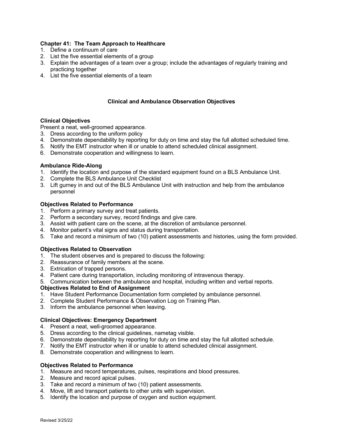## **Chapter 41: The Team Approach to Healthcare**

- 1. Define a continuum of care
- 2. List the five essential elements of a group
- 3. Explain the advantages of a team over a group; include the advantages of regularly training and practicing together
- 4. List the five essential elements of a team

## **Clinical and Ambulance Observation Objectives**

#### **Clinical Objectives**

Present a neat, well-groomed appearance.

- 3. Dress according to the uniform policy
- 4. Demonstrate dependability by reporting for duty on time and stay the full allotted scheduled time.
- 5. Notify the EMT instructor when ill or unable to attend scheduled clinical assignment.
- 6. Demonstrate cooperation and willingness to learn.

#### **Ambulance Ride-Along**

- 1. Identify the location and purpose of the standard equipment found on a BLS Ambulance Unit.
- 2. Complete the BLS Ambulance Unit Checklist
- 3. Lift gurney in and out of the BLS Ambulance Unit with instruction and help from the ambulance personnel

#### **Objectives Related to Performance**

- 1. Perform a primary survey and treat patients.
- 2. Perform a secondary survey, record findings and give care.
- 3. Assist with patient care on the scene, at the discretion of ambulance personnel.
- 4. Monitor patient's vital signs and status during transportation.
- 5. Take and record a minimum of two (10) patient assessments and histories, using the form provided.

#### **Objectives Related to Observation**

- 1. The student observes and is prepared to discuss the following:
- 2. Reassurance of family members at the scene.
- 3. Extrication of trapped persons.
- 4. Patient care during transportation, including monitoring of intravenous therapy.
- 5. Communication between the ambulance and hospital, including written and verbal reports.

#### **Objectives Related to End of Assignment**

- 1. Have Student Performance Documentation form completed by ambulance personnel.
- 2. Complete Student Performance & Observation Log on Training Plan.
- 3. Inform the ambulance personnel when leaving.

# **Clinical Objectives: Emergency Department**

- 4. Present a neat, well-groomed appearance.
- 5. Dress according to the clinical guidelines, nametag visible.
- 6. Demonstrate dependability by reporting for duty on time and stay the full allotted schedule.
- 7. Notify the EMT instructor when ill or unable to attend scheduled clinical assignment.
- 8. Demonstrate cooperation and willingness to learn.

# **Objectives Related to Performance**

- 1. Measure and record temperatures, pulses, respirations and blood pressures.
- 2. Measure and record apical pulses.
- 3. Take and record a minimum of two (10) patient assessments.
- 4. Move, lift and transport patients to other units with supervision.
- 5. Identify the location and purpose of oxygen and suction equipment.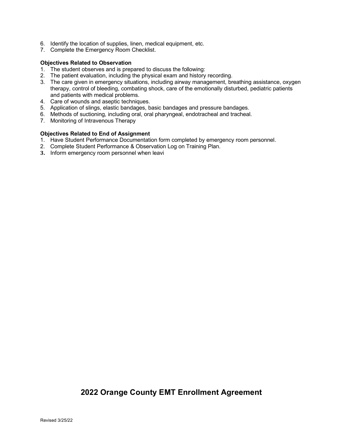- 6. Identify the location of supplies, linen, medical equipment, etc.
- 7. Complete the Emergency Room Checklist.

## **Objectives Related to Observation**

- 1. The student observes and is prepared to discuss the following:
- 2. The patient evaluation, including the physical exam and history recording.
- 3. The care given in emergency situations, including airway management, breathing assistance, oxygen therapy, control of bleeding, combating shock, care of the emotionally disturbed, pediatric patients and patients with medical problems.
- 4. Care of wounds and aseptic techniques.
- 5. Application of slings, elastic bandages, basic bandages and pressure bandages.
- 6. Methods of suctioning, including oral, oral pharyngeal, endotracheal and tracheal.
- 7. Monitoring of Intravenous Therapy

## **Objectives Related to End of Assignment**

- 1. Have Student Performance Documentation form completed by emergency room personnel.
- 2. Complete Student Performance & Observation Log on Training Plan.
- **3.** Inform emergency room personnel when leavi

# **2022 Orange County EMT Enrollment Agreement**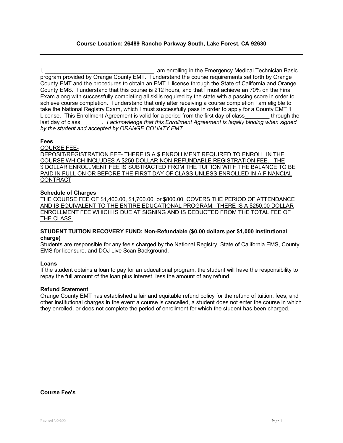## **Course Location: 26489 Rancho Parkway South, Lake Forest, CA 92630**

I, \_\_\_\_\_\_\_\_\_\_\_\_\_\_\_\_\_\_\_\_\_\_\_\_\_\_\_\_\_\_\_\_\_\_\_, am enrolling in the Emergency Medical Technician Basic program provided by Orange County EMT. I understand the course requirements set forth by Orange County EMT and the procedures to obtain an EMT 1 license through the State of California and Orange County EMS. I understand that this course is 212 hours, and that I must achieve an 70% on the Final Exam along with successfully completing all skills required by the state with a passing score in order to achieve course completion. I understand that only after receiving a course completion I am eligible to take the National Registry Exam, which I must successfully pass in order to apply for a County EMT 1 License. This Enrollment Agreement is valid for a period from the first day of class\_\_\_\_\_\_\_\_ through the last day of class *I acknowledge that this Enrollment Agreement is legally binding when signed by the student and accepted by ORANGE COUNTY EMT.* 

#### **Fees**

#### COURSE FEE-

DEPOSIT/REGISTRATION FEE- THERE IS A \$ ENROLLMENT REQUIRED TO ENROLL IN THE COURSE WHICH INCLUDES A \$250 DOLLAR NON-REFUNDABLE REGISTRATION FEE. THE \$ DOLLAR ENROLLMENT FEE IS SUBTRACTED FROM THE TUITION WITH THE BALANCE TO BE PAID IN FULL ON OR BEFORE THE FIRST DAY OF CLASS UNLESS ENROLLED IN A FINANCIAL CONTRACT

#### **Schedule of Charges**

THE COURSE FEE OF \$1,400.00, \$1,700.00, or \$800.00, COVERS THE PERIOD OF ATTENDANCE AND IS EQUIVALENT TO THE ENTIRE EDUCATIONAL PROGRAM. THERE IS A \$250.00 DOLLAR ENROLLMENT FEE WHICH IS DUE AT SIGNING AND IS DEDUCTED FROM THE TOTAL FEE OF THE CLASS.

#### **STUDENT TUITION RECOVERY FUND: Non-Refundable (\$0.00 dollars per \$1,000 institutional charge)**

Students are responsible for any fee's charged by the National Registry, State of California EMS, County EMS for licensure, and DOJ Live Scan Background.

#### **Loans**

If the student obtains a loan to pay for an educational program, the student will have the responsibility to repay the full amount of the loan plus interest, less the amount of any refund.

#### **Refund Statement**

Orange County EMT has established a fair and equitable refund policy for the refund of tuition, fees, and other institutional charges in the event a course is cancelled, a student does not enter the course in which they enrolled, or does not complete the period of enrollment for which the student has been charged.

### **Course Fee's**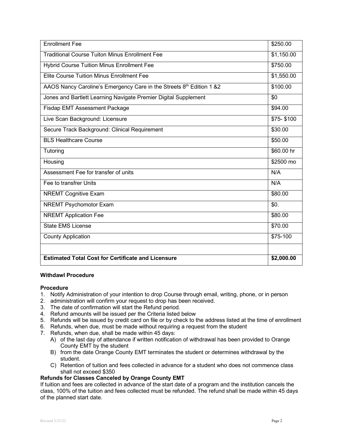| <b>Enrollment Fee</b>                                                | \$250.00   |
|----------------------------------------------------------------------|------------|
| <b>Traditional Course Tuiton Minus Enrollment Fee</b>                | \$1,150.00 |
| <b>Hybrid Course Tuition Minus Enrollment Fee</b>                    | \$750.00   |
| <b>Elite Course Tuition Minus Enrollment Fee</b>                     | \$1,550.00 |
| AAOS Nancy Caroline's Emergency Care in the Streets 8th Edition 1 &2 | \$100.00   |
| Jones and Bartlett Learning Navigate Premier Digital Supplement      | \$0        |
| <b>Fisdap EMT Assessment Package</b>                                 | \$94.00    |
| Live Scan Background: Licensure                                      | \$75-\$100 |
| Secure Track Background: Clinical Requirement                        | \$30.00    |
| <b>BLS Healthcare Course</b>                                         | \$50.00    |
| Tutoring                                                             | \$60.00 hr |
| Housing                                                              | \$2500 mo  |
| Assessment Fee for transfer of units                                 | N/A        |
| Fee to transfrer Units                                               | N/A        |
| <b>NREMT Cognitive Exam</b>                                          | \$80.00    |
| <b>NREMT Psychomotor Exam</b>                                        | \$0.       |
| <b>NREMT</b> Application Fee                                         | \$80.00    |
| <b>State EMS License</b>                                             | \$70.00    |
| <b>County Application</b>                                            | \$75-100   |
|                                                                      |            |
| <b>Estimated Total Cost for Certificate and Licensure</b>            | \$2,000.00 |

## **Withdawl Procedure**

#### **Procedure**

- 1. Notify Administration of your intention to drop Course through email, writing, phone, or in person
- 2. administration will confirm your request to drop has been received.
- 3. The date of confirmation will start the Refund period.
- 4. Refund amounts will be issued per the Criteria listed below
- 5. Refunds will be issued by credit card on file or by check to the address listed at the time of enrollment
- 6. Refunds, when due, must be made without requiring a request from the student
- 7. Refunds, when due, shall be made within 45 days:
	- A) of the last day of attendance if written notification of withdrawal has been provided to Orange County EMT by the student
	- B) from the date Orange County EMT terminates the student or determines withdrawal by the student.
	- C) Retention of tuition and fees collected in advance for a student who does not commence class shall not exceed \$350

#### **Refunds for Classes Canceled by Orange County EMT**

If tuition and fees are collected in advance of the start date of a program and the institution cancels the class, 100% of the tuition and fees collected must be refunded. The refund shall be made within 45 days of the planned start date.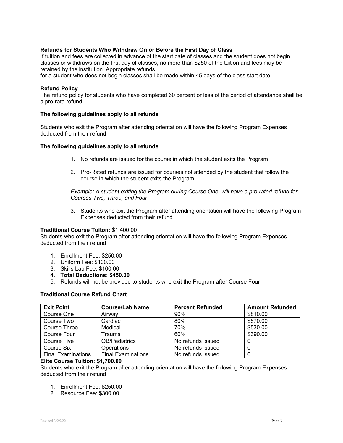## **Refunds for Students Who Withdraw On or Before the First Day of Class**

If tuition and fees are collected in advance of the start date of classes and the student does not begin classes or withdraws on the first day of classes, no more than \$250 of the tuition and fees may be retained by the institution. Appropriate refunds

for a student who does not begin classes shall be made within 45 days of the class start date.

#### **Refund Policy**

The refund policy for students who have completed 60 percent or less of the period of attendance shall be a pro-rata refund.

#### **The following guidelines apply to all refunds**

Students who exit the Program after attending orientation will have the following Program Expenses deducted from their refund

## **The following guidelines apply to all refunds**

- 1. No refunds are issued for the course in which the student exits the Program
- 2. Pro-Rated refunds are issued for courses not attended by the student that follow the course in which the student exits the Program.

*Example: A student exiting the Program during Course One, will have a pro-rated refund for Courses Two, Three, and Four*

3. Students who exit the Program after attending orientation will have the following Program Expenses deducted from their refund

#### **Traditional Course Tuiton:** \$1,400.00

Students who exit the Program after attending orientation will have the following Program Expenses deducted from their refund

- 1. Enrollment Fee: \$250.00
- 2. Uniform Fee: \$100.00
- 3. Skills Lab Fee: \$100.00
- **4. Total Deductions: \$450.00**
- 5. Refunds will not be provided to students who exit the Program after Course Four

#### **Traditional Course Refund Chart**

| <b>Exit Point</b>         | <b>Course/Lab Name</b>    | <b>Percent Refunded</b> | <b>Amount Refunded</b> |
|---------------------------|---------------------------|-------------------------|------------------------|
| Course One                | Airway                    | 90%                     | \$810.00               |
| Course Two                | Cardiac                   | 80%                     | \$670.00               |
| Course Three              | Medical                   | 70%                     | \$530.00               |
| Course Four               | Trauma                    | 60%                     | \$390.00               |
| <b>Course Five</b>        | <b>OB/Pediatrics</b>      | No refunds issued       |                        |
| Course Six                | <b>Operations</b>         | No refunds issued       |                        |
| <b>Final Examinations</b> | <b>Final Examinations</b> | No refunds issued       |                        |

#### **Elite Course Tuition: \$1,700.00**

Students who exit the Program after attending orientation will have the following Program Expenses deducted from their refund

- 1. Enrollment Fee: \$250.00
- 2. Resource Fee: \$300.00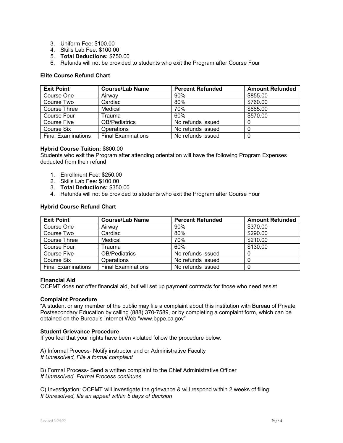- 3. Uniform Fee: \$100.00
- 4. Skills Lab Fee: \$100.00
- 5. **Total Deductions:** \$750.00
- 6. Refunds will not be provided to students who exit the Program after Course Four

## **Elite Course Refund Chart**

| <b>Exit Point</b>         | <b>Course/Lab Name</b>    | <b>Percent Refunded</b> | <b>Amount Refunded</b> |
|---------------------------|---------------------------|-------------------------|------------------------|
| Course One                | Airway                    | 90%                     | \$855.00               |
| Course Two                | Cardiac                   | 80%                     | \$760.00               |
| Course Three              | Medical                   | 70%                     | \$665.00               |
| Course Four               | <sup>r</sup> auma         | 60%                     | \$570.00               |
| Course Five               | <b>OB/Pediatrics</b>      | No refunds issued       |                        |
| Course Six                | <b>Operations</b>         | No refunds issued       |                        |
| <b>Final Examinations</b> | <b>Final Examinations</b> | No refunds issued       |                        |

## **Hybrid Course Tuition:** \$800.00

Students who exit the Program after attending orientation will have the following Program Expenses deducted from their refund

- 1. Enrollment Fee: \$250.00
- 2. Skills Lab Fee: \$100.00
- 3. **Total Deductions:** \$350.00
- 4. Refunds will not be provided to students who exit the Program after Course Four

## **Hybrid Course Refund Chart**

| <b>Exit Point</b>         | <b>Course/Lab Name</b>    | <b>Percent Refunded</b> | <b>Amount Refunded</b> |
|---------------------------|---------------------------|-------------------------|------------------------|
| Course One                | Airway                    | 90%                     | \$370.00               |
| Course Two                | Cardiac                   | 80%                     | \$290.00               |
| Course Three              | Medical                   | 70%                     | \$210.00               |
| Course Four               | Trauma                    | 60%                     | \$130.00               |
| <b>Course Five</b>        | <b>OB/Pediatrics</b>      | No refunds issued       |                        |
| Course Six                | <b>Operations</b>         | No refunds issued       | 0                      |
| <b>Final Examinations</b> | <b>Final Examinations</b> | No refunds issued       |                        |

#### **Financial Aid**

OCEMT does not offer financial aid, but will set up payment contracts for those who need assist

#### **Complaint Procedure**

"A student or any member of the public may file a complaint about this institution with Bureau of Private Postsecondary Education by calling (888) 370-7589, or by completing a complaint form, which can be obtained on the Bureau's Internet Web "www.bppe.ca.gov"

#### **Student Grievance Procedure**

If you feel that your rights have been violated follow the procedure below:

A) Informal Process- Notify instructor and or Administrative Faculty *If Unresolved, File a formal complaint* 

B) Formal Process- Send a written complaint to the Chief Administrative Officer *If Unresolved, Formal Process continues*

C) Investigation: OCEMT will investigate the grievance & will respond within 2 weeks of filing *If Unresolved, file an appeal within 5 days of decision*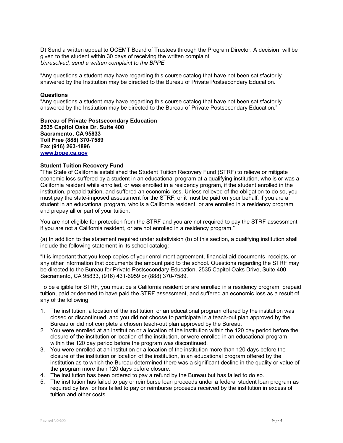D) Send a written appeal to OCEMT Board of Trustees through the Program Director: A decision will be given to the student within 30 days of receiving the written complaint *Unresolved, send a written complaint to the BPPE* 

"Any questions a student may have regarding this course catalog that have not been satisfactorily answered by the Institution may be directed to the Bureau of Private Postsecondary Education."

#### **Questions**

"Any questions a student may have regarding this course catalog that have not been satisfactorily answered by the Institution may be directed to the Bureau of Private Postsecondary Education."

**Bureau of Private Postsecondary Education 2535 Capitol Oaks Dr. Suite 400 Sacramento, CA 95833 Toll Free (888) 370-7589 Fax (916) 263-1896 [www.bppe.ca.gov](http://www.bppe.ca.gov/)**

#### **Student Tuition Recovery Fund**

"The State of California established the Student Tuition Recovery Fund (STRF) to relieve or mitigate economic loss suffered by a student in an educational program at a qualifying institution, who is or was a California resident while enrolled, or was enrolled in a residency program, if the student enrolled in the institution, prepaid tuition, and suffered an economic loss. Unless relieved of the obligation to do so, you must pay the state-imposed assessment for the STRF, or it must be paid on your behalf, if you are a student in an educational program, who is a California resident, or are enrolled in a residency program, and prepay all or part of your tuition.

You are not eligible for protection from the STRF and you are not required to pay the STRF assessment, if you are not a California resident, or are not enrolled in a residency program."

(a) In addition to the statement required under subdivision (b) of this section, a qualifying institution shall include the following statement in its school catalog:

"It is important that you keep copies of your enrollment agreement, financial aid documents, receipts, or any other information that documents the amount paid to the school. Questions regarding the STRF may be directed to the Bureau for Private Postsecondary Education, 2535 Capitol Oaks Drive, Suite 400, Sacramento, CA 95833, (916) 431-6959 or (888) 370-7589.

To be eligible for STRF, you must be a California resident or are enrolled in a residency program, prepaid tuition, paid or deemed to have paid the STRF assessment, and suffered an economic loss as a result of any of the following:

- 1. The institution, a location of the institution, or an educational program offered by the institution was closed or discontinued, and you did not choose to participate in a teach-out plan approved by the Bureau or did not complete a chosen teach-out plan approved by the Bureau.
- 2. You were enrolled at an institution or a location of the institution within the 120 day period before the closure of the institution or location of the institution, or were enrolled in an educational program within the 120 day period before the program was discontinued.
- 3. You were enrolled at an institution or a location of the institution more than 120 days before the closure of the institution or location of the institution, in an educational program offered by the institution as to which the Bureau determined there was a significant decline in the quality or value of the program more than 120 days before closure.
- 4. The institution has been ordered to pay a refund by the Bureau but has failed to do so.
- 5. The institution has failed to pay or reimburse loan proceeds under a federal student loan program as required by law, or has failed to pay or reimburse proceeds received by the institution in excess of tuition and other costs.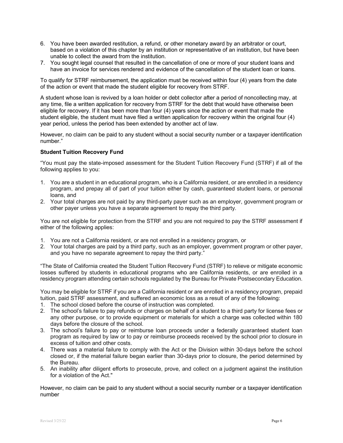- 6. You have been awarded restitution, a refund, or other monetary award by an arbitrator or court, based on a violation of this chapter by an institution or representative of an institution, but have been unable to collect the award from the institution.
- 7. You sought legal counsel that resulted in the cancellation of one or more of your student loans and have an invoice for services rendered and evidence of the cancellation of the student loan or loans.

To qualify for STRF reimbursement, the application must be received within four (4) years from the date of the action or event that made the student eligible for recovery from STRF.

A student whose loan is revived by a loan holder or debt collector after a period of noncollecting may, at any time, file a written application for recovery from STRF for the debt that would have otherwise been eligible for recovery. If it has been more than four (4) years since the action or event that made the student eligible, the student must have filed a written application for recovery within the original four (4) year period, unless the period has been extended by another act of law.

However, no claim can be paid to any student without a social security number or a taxpayer identification number."

## **Student Tuition Recovery Fund**

"You must pay the state-imposed assessment for the Student Tuition Recovery Fund (STRF) if all of the following applies to you:

- 1. You are a student in an educational program, who is a California resident, or are enrolled in a residency program, and prepay all of part of your tuition either by cash, guaranteed student loans, or personal loans, and
- 2. Your total charges are not paid by any third-party payer such as an employer, government program or other payer unless you have a separate agreement to repay the third party.

You are not eligible for protection from the STRF and you are not required to pay the STRF assessment if either of the following applies:

- 1. You are not a California resident, or are not enrolled in a residency program, or
- 2. Your total charges are paid by a third party, such as an employer, government program or other payer, and you have no separate agreement to repay the third party."

"The State of California created the Student Tuition Recovery Fund (STRF) to relieve or mitigate economic losses suffered by students in educational programs who are California residents, or are enrolled in a residency program attending certain schools regulated by the Bureau for Private Postsecondary Education.

You may be eligible for STRF if you are a California resident or are enrolled in a residency program, prepaid tuition, paid STRF assessment, and suffered an economic loss as a result of any of the following:

- 1. The school closed before the course of instruction was completed.
- 2. The school's failure to pay refunds or charges on behalf of a student to a third party for license fees or any other purpose, or to provide equipment or materials for which a charge was collected within 180 days before the closure of the school.
- 3. The school's failure to pay or reimburse loan proceeds under a federally guaranteed student loan program as required by law or to pay or reimburse proceeds received by the school prior to closure in excess of tuition and other costs.
- 4. There was a material failure to comply with the Act or the Division within 30-days before the school closed or, if the material failure began earlier than 30-days prior to closure, the period determined by the Bureau.
- 5. An inability after diligent efforts to prosecute, prove, and collect on a judgment against the institution for a violation of the Act."

However, no claim can be paid to any student without a social security number or a taxpayer identification number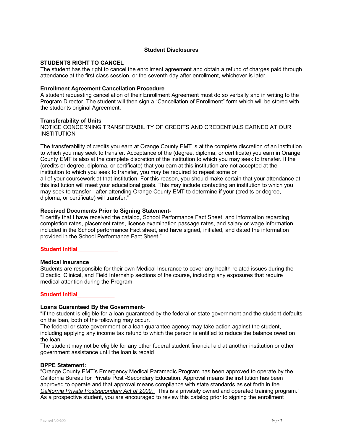#### **Student Disclosures**

#### **STUDENTS RIGHT TO CANCEL**

The student has the right to cancel the enrollment agreement and obtain a refund of charges paid through attendance at the first class session, or the seventh day after enrollment, whichever is later.

#### **Enrollment Agreement Cancellation Procedure**

A student requesting cancellation of their Enrollment Agreement must do so verbally and in writing to the Program Director. The student will then sign a "Cancellation of Enrollment" form which will be stored with the students original Agreement.

#### **Transferability of Units**

NOTICE CONCERNING TRANSFERABILITY OF CREDITS AND CREDENTIALS EARNED AT OUR INSTITUTION

The transferability of credits you earn at Orange County EMT is at the complete discretion of an institution to which you may seek to transfer. Acceptance of the (degree, diploma, or certificate) you earn in Orange County EMT is also at the complete discretion of the institution to which you may seek to transfer. If the (credits or degree, diploma, or certificate) that you earn at this institution are not accepted at the institution to which you seek to transfer, you may be required to repeat some or all of your coursework at that institution. For this reason, you should make certain that your attendance at this institution will meet your educational goals. This may include contacting an institution to which you may seek to transfer after attending Orange County EMT to determine if your (credits or degree, diploma, or certificate) will transfer."

#### **Received Documents Prior to Signing Statement-**

"I certify that I have received the catalog, School Performance Fact Sheet, and information regarding completion rates, placement rates, license examination passage rates, and salary or wage information included in the School performance Fact sheet, and have signed, initialed, and dated the information provided in the School Performance Fact Sheet."

#### **Student Initial\_\_\_\_\_\_\_\_\_\_\_\_\_**

#### **Medical Insurance**

Students are responsible for their own Medical Insurance to cover any health-related issues during the Didactic, Clinical, and Field Internship sections of the course, including any exposures that require medical attention during the Program.

#### **Student Initial\_\_\_\_\_\_\_\_\_\_\_\_**

#### **Loans Guaranteed By the Government-**

"If the student is eligible for a loan guaranteed by the federal or state government and the student defaults on the loan, both of the following may occur.

The federal or state government or a loan guarantee agency may take action against the student, including applying any income tax refund to which the person is entitled to reduce the balance owed on the loan.

The student may not be eligible for any other federal student financial aid at another institution or other government assistance until the loan is repaid

#### **BPPE Statement:**

"Orange County EMT's Emergency Medical Paramedic Program has been approved to operate by the California Bureau for Private Post -Secondary Education. Approval means the institution has been approved to operate and that approval means compliance with state standards as set forth in the *California Private Postsecondary Act of 2009.* This is a privately owned and operated training program." As a prospective student, you are encouraged to review this catalog prior to signing the enrollment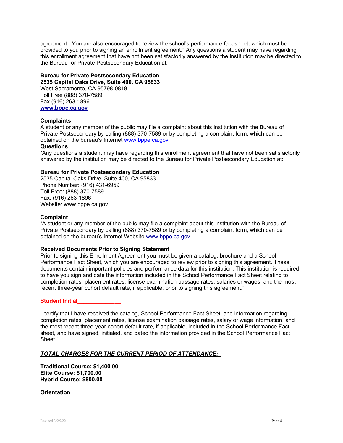agreement. You are also encouraged to review the school's performance fact sheet, which must be provided to you prior to signing an enrollment agreement." Any questions a student may have regarding this enrollment agreement that have not been satisfactorily answered by the institution may be directed to the Bureau for Private Postsecondary Education at:

# **Bureau for Private Postsecondary Education**

**2535 Capital Oaks Drive, Suite 400, CA 95833** West Sacramento, CA 95798-0818 Toll Free (888) 370-7589 Fax (916) 263-1896 **[www.bppe.ca.gov](http://www.bppe.ca.gov/)**

## **Complaints**

A student or any member of the public may file a complaint about this institution with the Bureau of Private Postsecondary by calling (888) 370-7589 or by completing a complaint form, which can be obtained on the bureau's Internet [www.bppe.ca.gov](http://www.bppe.ca.gov/)

#### **Questions**

"Any questions a student may have regarding this enrollment agreement that have not been satisfactorily answered by the institution may be directed to the Bureau for Private Postsecondary Education at:

# **Bureau for Private Postsecondary Education**

2535 Capital Oaks Drive, Suite 400, CA 95833 Phone Number: (916) 431-6959 Toll Free: (888) 370-7589 Fax: (916) 263-1896 Website: www.bppe.ca.gov

## **Complaint**

"A student or any member of the public may file a complaint about this institution with the Bureau of Private Postsecondary by calling (888) 370-7589 or by completing a complaint form, which can be obtained on the bureau's Internet Website [www.bppe.ca.gov](http://www.bppe.ca.gov/)

#### **Received Documents Prior to Signing Statement**

Prior to signing this Enrollment Agreement you must be given a catalog, brochure and a School Performance Fact Sheet, which you are encouraged to review prior to signing this agreement. These documents contain important policies and performance data for this institution. This institution is required to have you sign and date the information included in the School Performance Fact Sheet relating to completion rates, placement rates, license examination passage rates, salaries or wages, and the most recent three-year cohort default rate, if applicable, prior to signing this agreement."

#### **Student Initial\_\_\_\_\_\_\_\_\_\_\_\_\_\_**

I certify that I have received the catalog, School Performance Fact Sheet, and information regarding completion rates, placement rates, license examination passage rates, salary or wage information, and the most recent three-year cohort default rate, if applicable, included in the School Performance Fact sheet, and have signed, initialed, and dated the information provided in the School Performance Fact Sheet."

# *TOTAL CHARGES FOR THE CURRENT PERIOD OF ATTENDANCE:*

**Traditional Course: \$1,400.00 Elite Course: \$1,700.00 Hybrid Course: \$800.00**

**Orientation**